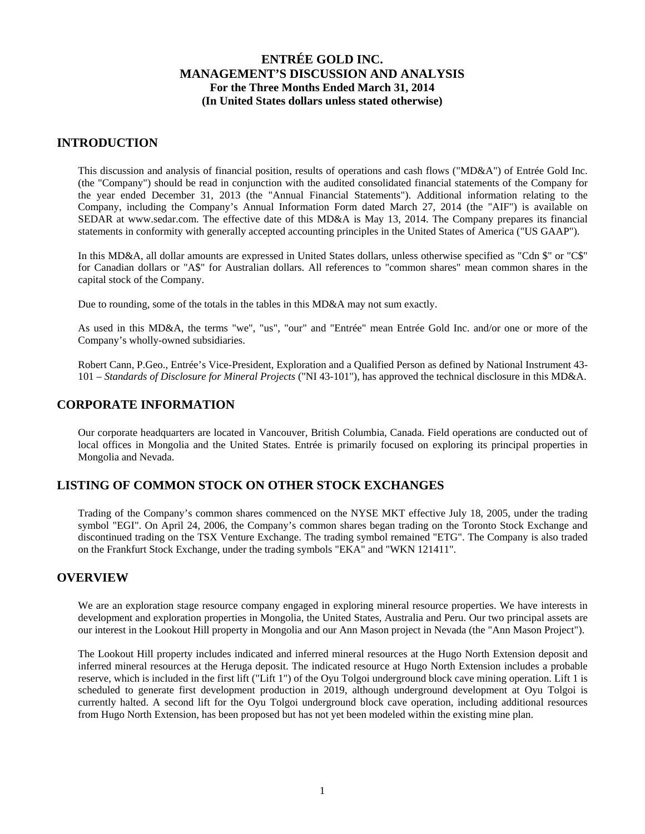## **INTRODUCTION**

This discussion and analysis of financial position, results of operations and cash flows ("MD&A") of Entrée Gold Inc. (the "Company") should be read in conjunction with the audited consolidated financial statements of the Company for the year ended December 31, 2013 (the "Annual Financial Statements"). Additional information relating to the Company, including the Company's Annual Information Form dated March 27, 2014 (the "AIF") is available on SEDAR at www.sedar.com. The effective date of this MD&A is May 13, 2014. The Company prepares its financial statements in conformity with generally accepted accounting principles in the United States of America ("US GAAP").

In this MD&A, all dollar amounts are expressed in United States dollars, unless otherwise specified as "Cdn \$" or "C\$" for Canadian dollars or "A\$" for Australian dollars. All references to "common shares" mean common shares in the capital stock of the Company.

Due to rounding, some of the totals in the tables in this MD&A may not sum exactly.

As used in this MD&A, the terms "we", "us", "our" and "Entrée" mean Entrée Gold Inc. and/or one or more of the Company's wholly-owned subsidiaries.

Robert Cann, P.Geo., Entrée's Vice-President, Exploration and a Qualified Person as defined by National Instrument 43- 101 – *Standards of Disclosure for Mineral Projects* ("NI 43-101"), has approved the technical disclosure in this MD&A.

## **CORPORATE INFORMATION**

Our corporate headquarters are located in Vancouver, British Columbia, Canada. Field operations are conducted out of local offices in Mongolia and the United States. Entrée is primarily focused on exploring its principal properties in Mongolia and Nevada.

## **LISTING OF COMMON STOCK ON OTHER STOCK EXCHANGES**

Trading of the Company's common shares commenced on the NYSE MKT effective July 18, 2005, under the trading symbol "EGI". On April 24, 2006, the Company's common shares began trading on the Toronto Stock Exchange and discontinued trading on the TSX Venture Exchange. The trading symbol remained "ETG". The Company is also traded on the Frankfurt Stock Exchange, under the trading symbols "EKA" and "WKN 121411".

## **OVERVIEW**

We are an exploration stage resource company engaged in exploring mineral resource properties. We have interests in development and exploration properties in Mongolia, the United States, Australia and Peru. Our two principal assets are our interest in the Lookout Hill property in Mongolia and our Ann Mason project in Nevada (the "Ann Mason Project").

The Lookout Hill property includes indicated and inferred mineral resources at the Hugo North Extension deposit and inferred mineral resources at the Heruga deposit. The indicated resource at Hugo North Extension includes a probable reserve, which is included in the first lift ("Lift 1") of the Oyu Tolgoi underground block cave mining operation. Lift 1 is scheduled to generate first development production in 2019, although underground development at Oyu Tolgoi is currently halted. A second lift for the Oyu Tolgoi underground block cave operation, including additional resources from Hugo North Extension, has been proposed but has not yet been modeled within the existing mine plan.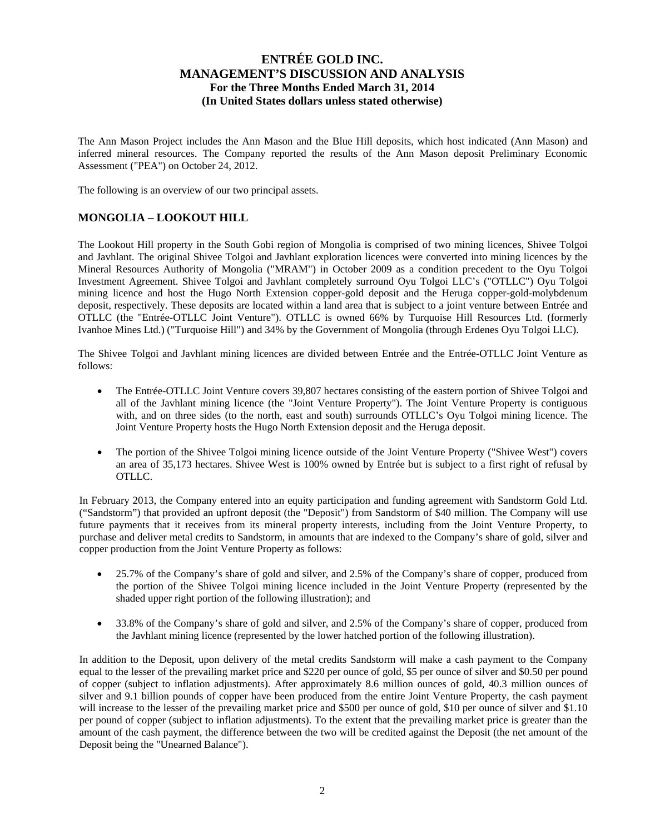The Ann Mason Project includes the Ann Mason and the Blue Hill deposits, which host indicated (Ann Mason) and inferred mineral resources. The Company reported the results of the Ann Mason deposit Preliminary Economic Assessment ("PEA") on October 24, 2012.

The following is an overview of our two principal assets.

## **MONGOLIA – LOOKOUT HILL**

The Lookout Hill property in the South Gobi region of Mongolia is comprised of two mining licences, Shivee Tolgoi and Javhlant. The original Shivee Tolgoi and Javhlant exploration licences were converted into mining licences by the Mineral Resources Authority of Mongolia ("MRAM") in October 2009 as a condition precedent to the Oyu Tolgoi Investment Agreement. Shivee Tolgoi and Javhlant completely surround Oyu Tolgoi LLC's ("OTLLC") Oyu Tolgoi mining licence and host the Hugo North Extension copper-gold deposit and the Heruga copper-gold-molybdenum deposit, respectively. These deposits are located within a land area that is subject to a joint venture between Entrée and OTLLC (the "Entrée-OTLLC Joint Venture"). OTLLC is owned 66% by Turquoise Hill Resources Ltd. (formerly Ivanhoe Mines Ltd.) ("Turquoise Hill") and 34% by the Government of Mongolia (through Erdenes Oyu Tolgoi LLC).

The Shivee Tolgoi and Javhlant mining licences are divided between Entrée and the Entrée-OTLLC Joint Venture as follows:

- The Entrée-OTLLC Joint Venture covers 39,807 hectares consisting of the eastern portion of Shivee Tolgoi and all of the Javhlant mining licence (the "Joint Venture Property"). The Joint Venture Property is contiguous with, and on three sides (to the north, east and south) surrounds OTLLC's Oyu Tolgoi mining licence. The Joint Venture Property hosts the Hugo North Extension deposit and the Heruga deposit.
- The portion of the Shivee Tolgoi mining licence outside of the Joint Venture Property ("Shivee West") covers an area of 35,173 hectares. Shivee West is 100% owned by Entrée but is subject to a first right of refusal by OTLLC.

In February 2013, the Company entered into an equity participation and funding agreement with Sandstorm Gold Ltd. ("Sandstorm") that provided an upfront deposit (the "Deposit") from Sandstorm of \$40 million. The Company will use future payments that it receives from its mineral property interests, including from the Joint Venture Property, to purchase and deliver metal credits to Sandstorm, in amounts that are indexed to the Company's share of gold, silver and copper production from the Joint Venture Property as follows:

- 25.7% of the Company's share of gold and silver, and 2.5% of the Company's share of copper, produced from the portion of the Shivee Tolgoi mining licence included in the Joint Venture Property (represented by the shaded upper right portion of the following illustration); and
- 33.8% of the Company's share of gold and silver, and 2.5% of the Company's share of copper, produced from the Javhlant mining licence (represented by the lower hatched portion of the following illustration).

In addition to the Deposit, upon delivery of the metal credits Sandstorm will make a cash payment to the Company equal to the lesser of the prevailing market price and \$220 per ounce of gold, \$5 per ounce of silver and \$0.50 per pound of copper (subject to inflation adjustments). After approximately 8.6 million ounces of gold, 40.3 million ounces of silver and 9.1 billion pounds of copper have been produced from the entire Joint Venture Property, the cash payment will increase to the lesser of the prevailing market price and \$500 per ounce of gold, \$10 per ounce of silver and \$1.10 per pound of copper (subject to inflation adjustments). To the extent that the prevailing market price is greater than the amount of the cash payment, the difference between the two will be credited against the Deposit (the net amount of the Deposit being the "Unearned Balance").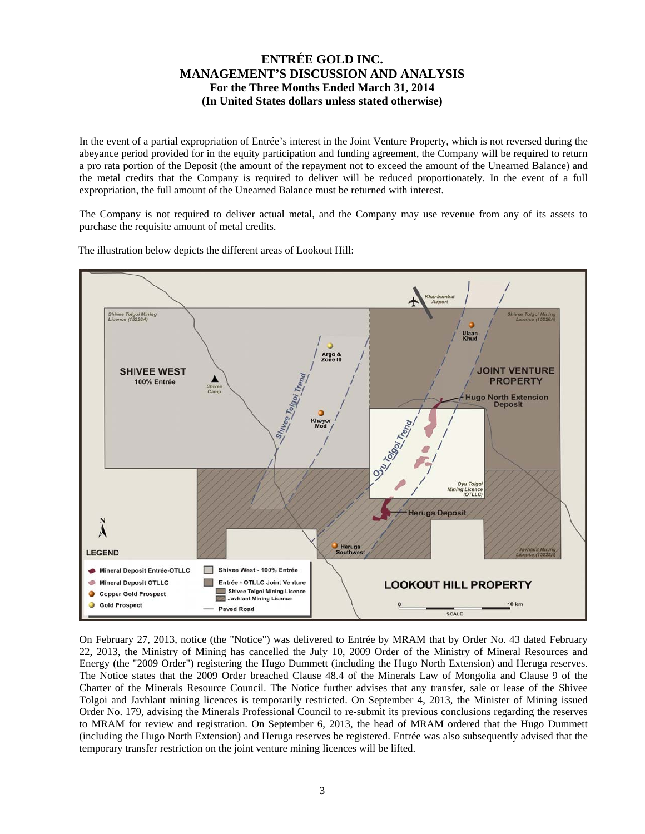In the event of a partial expropriation of Entrée's interest in the Joint Venture Property, which is not reversed during the abeyance period provided for in the equity participation and funding agreement, the Company will be required to return a pro rata portion of the Deposit (the amount of the repayment not to exceed the amount of the Unearned Balance) and the metal credits that the Company is required to deliver will be reduced proportionately. In the event of a full expropriation, the full amount of the Unearned Balance must be returned with interest.

The Company is not required to deliver actual metal, and the Company may use revenue from any of its assets to purchase the requisite amount of metal credits.



The illustration below depicts the different areas of Lookout Hill:

On February 27, 2013, notice (the "Notice") was delivered to Entrée by MRAM that by Order No. 43 dated February 22, 2013, the Ministry of Mining has cancelled the July 10, 2009 Order of the Ministry of Mineral Resources and Energy (the "2009 Order") registering the Hugo Dummett (including the Hugo North Extension) and Heruga reserves. The Notice states that the 2009 Order breached Clause 48.4 of the Minerals Law of Mongolia and Clause 9 of the Charter of the Minerals Resource Council. The Notice further advises that any transfer, sale or lease of the Shivee Tolgoi and Javhlant mining licences is temporarily restricted. On September 4, 2013, the Minister of Mining issued Order No. 179, advising the Minerals Professional Council to re-submit its previous conclusions regarding the reserves to MRAM for review and registration. On September 6, 2013, the head of MRAM ordered that the Hugo Dummett (including the Hugo North Extension) and Heruga reserves be registered. Entrée was also subsequently advised that the temporary transfer restriction on the joint venture mining licences will be lifted.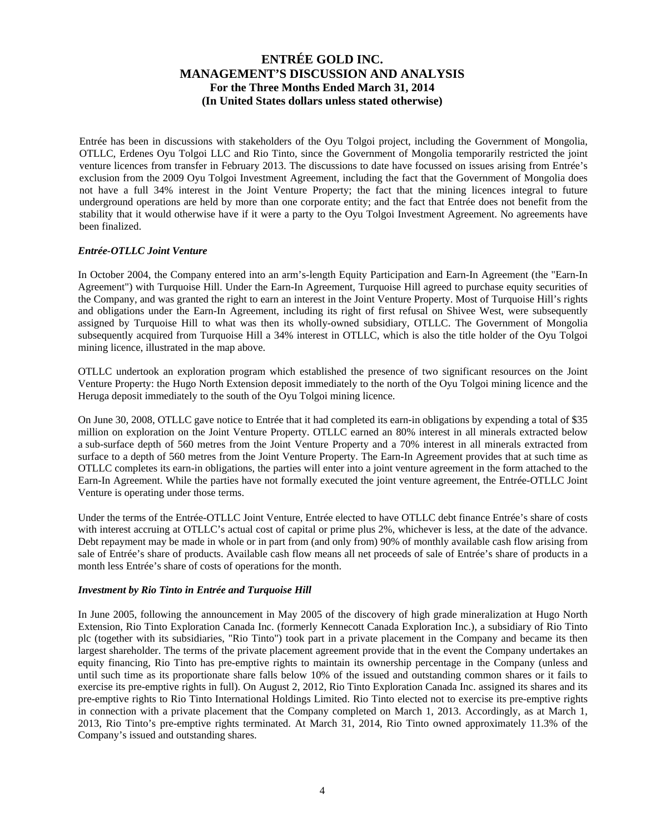Entrée has been in discussions with stakeholders of the Oyu Tolgoi project, including the Government of Mongolia, OTLLC, Erdenes Oyu Tolgoi LLC and Rio Tinto, since the Government of Mongolia temporarily restricted the joint venture licences from transfer in February 2013. The discussions to date have focussed on issues arising from Entrée's exclusion from the 2009 Oyu Tolgoi Investment Agreement, including the fact that the Government of Mongolia does not have a full 34% interest in the Joint Venture Property; the fact that the mining licences integral to future underground operations are held by more than one corporate entity; and the fact that Entrée does not benefit from the stability that it would otherwise have if it were a party to the Oyu Tolgoi Investment Agreement. No agreements have been finalized.

### *Entrée-OTLLC Joint Venture*

In October 2004, the Company entered into an arm's-length Equity Participation and Earn-In Agreement (the "Earn-In Agreement") with Turquoise Hill. Under the Earn-In Agreement, Turquoise Hill agreed to purchase equity securities of the Company, and was granted the right to earn an interest in the Joint Venture Property. Most of Turquoise Hill's rights and obligations under the Earn-In Agreement, including its right of first refusal on Shivee West, were subsequently assigned by Turquoise Hill to what was then its wholly-owned subsidiary, OTLLC. The Government of Mongolia subsequently acquired from Turquoise Hill a 34% interest in OTLLC, which is also the title holder of the Oyu Tolgoi mining licence, illustrated in the map above.

OTLLC undertook an exploration program which established the presence of two significant resources on the Joint Venture Property: the Hugo North Extension deposit immediately to the north of the Oyu Tolgoi mining licence and the Heruga deposit immediately to the south of the Oyu Tolgoi mining licence.

On June 30, 2008, OTLLC gave notice to Entrée that it had completed its earn-in obligations by expending a total of \$35 million on exploration on the Joint Venture Property. OTLLC earned an 80% interest in all minerals extracted below a sub-surface depth of 560 metres from the Joint Venture Property and a 70% interest in all minerals extracted from surface to a depth of 560 metres from the Joint Venture Property. The Earn-In Agreement provides that at such time as OTLLC completes its earn-in obligations, the parties will enter into a joint venture agreement in the form attached to the Earn-In Agreement. While the parties have not formally executed the joint venture agreement, the Entrée-OTLLC Joint Venture is operating under those terms.

Under the terms of the Entrée-OTLLC Joint Venture, Entrée elected to have OTLLC debt finance Entrée's share of costs with interest accruing at OTLLC's actual cost of capital or prime plus 2%, whichever is less, at the date of the advance. Debt repayment may be made in whole or in part from (and only from) 90% of monthly available cash flow arising from sale of Entrée's share of products. Available cash flow means all net proceeds of sale of Entrée's share of products in a month less Entrée's share of costs of operations for the month.

#### *Investment by Rio Tinto in Entrée and Turquoise Hill*

In June 2005, following the announcement in May 2005 of the discovery of high grade mineralization at Hugo North Extension, Rio Tinto Exploration Canada Inc. (formerly Kennecott Canada Exploration Inc.), a subsidiary of Rio Tinto plc (together with its subsidiaries, "Rio Tinto") took part in a private placement in the Company and became its then largest shareholder. The terms of the private placement agreement provide that in the event the Company undertakes an equity financing, Rio Tinto has pre-emptive rights to maintain its ownership percentage in the Company (unless and until such time as its proportionate share falls below 10% of the issued and outstanding common shares or it fails to exercise its pre-emptive rights in full). On August 2, 2012, Rio Tinto Exploration Canada Inc. assigned its shares and its pre-emptive rights to Rio Tinto International Holdings Limited. Rio Tinto elected not to exercise its pre-emptive rights in connection with a private placement that the Company completed on March 1, 2013. Accordingly, as at March 1, 2013, Rio Tinto's pre-emptive rights terminated. At March 31, 2014, Rio Tinto owned approximately 11.3% of the Company's issued and outstanding shares.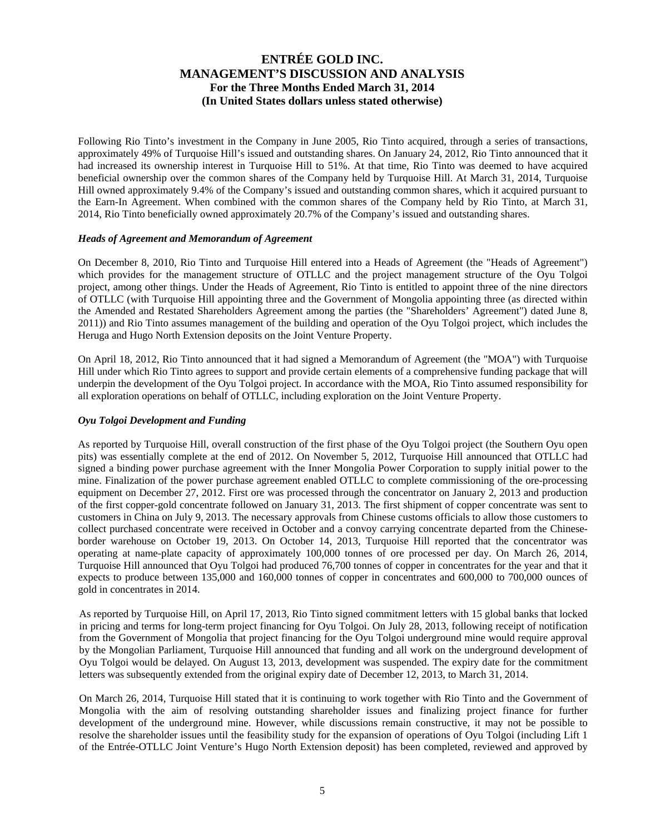Following Rio Tinto's investment in the Company in June 2005, Rio Tinto acquired, through a series of transactions, approximately 49% of Turquoise Hill's issued and outstanding shares. On January 24, 2012, Rio Tinto announced that it had increased its ownership interest in Turquoise Hill to 51%. At that time, Rio Tinto was deemed to have acquired beneficial ownership over the common shares of the Company held by Turquoise Hill. At March 31, 2014, Turquoise Hill owned approximately 9.4% of the Company's issued and outstanding common shares, which it acquired pursuant to the Earn-In Agreement. When combined with the common shares of the Company held by Rio Tinto, at March 31, 2014, Rio Tinto beneficially owned approximately 20.7% of the Company's issued and outstanding shares.

#### *Heads of Agreement and Memorandum of Agreement*

On December 8, 2010, Rio Tinto and Turquoise Hill entered into a Heads of Agreement (the "Heads of Agreement") which provides for the management structure of OTLLC and the project management structure of the Oyu Tolgoi project, among other things. Under the Heads of Agreement, Rio Tinto is entitled to appoint three of the nine directors of OTLLC (with Turquoise Hill appointing three and the Government of Mongolia appointing three (as directed within the Amended and Restated Shareholders Agreement among the parties (the "Shareholders' Agreement") dated June 8, 2011)) and Rio Tinto assumes management of the building and operation of the Oyu Tolgoi project, which includes the Heruga and Hugo North Extension deposits on the Joint Venture Property.

On April 18, 2012, Rio Tinto announced that it had signed a Memorandum of Agreement (the "MOA") with Turquoise Hill under which Rio Tinto agrees to support and provide certain elements of a comprehensive funding package that will underpin the development of the Oyu Tolgoi project. In accordance with the MOA, Rio Tinto assumed responsibility for all exploration operations on behalf of OTLLC, including exploration on the Joint Venture Property.

### *Oyu Tolgoi Development and Funding*

As reported by Turquoise Hill, overall construction of the first phase of the Oyu Tolgoi project (the Southern Oyu open pits) was essentially complete at the end of 2012. On November 5, 2012, Turquoise Hill announced that OTLLC had signed a binding power purchase agreement with the Inner Mongolia Power Corporation to supply initial power to the mine. Finalization of the power purchase agreement enabled OTLLC to complete commissioning of the ore-processing equipment on December 27, 2012. First ore was processed through the concentrator on January 2, 2013 and production of the first copper-gold concentrate followed on January 31, 2013. The first shipment of copper concentrate was sent to customers in China on July 9, 2013. The necessary approvals from Chinese customs officials to allow those customers to collect purchased concentrate were received in October and a convoy carrying concentrate departed from the Chineseborder warehouse on October 19, 2013. On October 14, 2013, Turquoise Hill reported that the concentrator was operating at name-plate capacity of approximately 100,000 tonnes of ore processed per day. On March 26, 2014, Turquoise Hill announced that Oyu Tolgoi had produced 76,700 tonnes of copper in concentrates for the year and that it expects to produce between 135,000 and 160,000 tonnes of copper in concentrates and 600,000 to 700,000 ounces of gold in concentrates in 2014.

As reported by Turquoise Hill, on April 17, 2013, Rio Tinto signed commitment letters with 15 global banks that locked in pricing and terms for long-term project financing for Oyu Tolgoi. On July 28, 2013, following receipt of notification from the Government of Mongolia that project financing for the Oyu Tolgoi underground mine would require approval by the Mongolian Parliament, Turquoise Hill announced that funding and all work on the underground development of Oyu Tolgoi would be delayed. On August 13, 2013, development was suspended. The expiry date for the commitment letters was subsequently extended from the original expiry date of December 12, 2013, to March 31, 2014.

On March 26, 2014, Turquoise Hill stated that it is continuing to work together with Rio Tinto and the Government of Mongolia with the aim of resolving outstanding shareholder issues and finalizing project finance for further development of the underground mine. However, while discussions remain constructive, it may not be possible to resolve the shareholder issues until the feasibility study for the expansion of operations of Oyu Tolgoi (including Lift 1 of the Entrée-OTLLC Joint Venture's Hugo North Extension deposit) has been completed, reviewed and approved by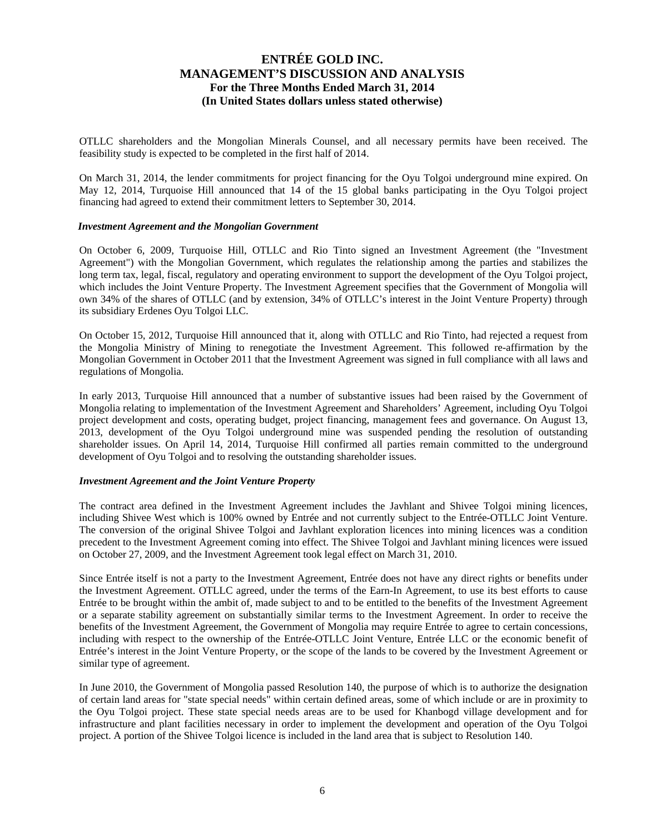OTLLC shareholders and the Mongolian Minerals Counsel, and all necessary permits have been received. The feasibility study is expected to be completed in the first half of 2014.

On March 31, 2014, the lender commitments for project financing for the Oyu Tolgoi underground mine expired. On May 12, 2014, Turquoise Hill announced that 14 of the 15 global banks participating in the Oyu Tolgoi project financing had agreed to extend their commitment letters to September 30, 2014.

#### *Investment Agreement and the Mongolian Government*

On October 6, 2009, Turquoise Hill, OTLLC and Rio Tinto signed an Investment Agreement (the "Investment Agreement") with the Mongolian Government, which regulates the relationship among the parties and stabilizes the long term tax, legal, fiscal, regulatory and operating environment to support the development of the Oyu Tolgoi project, which includes the Joint Venture Property. The Investment Agreement specifies that the Government of Mongolia will own 34% of the shares of OTLLC (and by extension, 34% of OTLLC's interest in the Joint Venture Property) through its subsidiary Erdenes Oyu Tolgoi LLC.

On October 15, 2012, Turquoise Hill announced that it, along with OTLLC and Rio Tinto, had rejected a request from the Mongolia Ministry of Mining to renegotiate the Investment Agreement. This followed re-affirmation by the Mongolian Government in October 2011 that the Investment Agreement was signed in full compliance with all laws and regulations of Mongolia.

In early 2013, Turquoise Hill announced that a number of substantive issues had been raised by the Government of Mongolia relating to implementation of the Investment Agreement and Shareholders' Agreement, including Oyu Tolgoi project development and costs, operating budget, project financing, management fees and governance. On August 13, 2013, development of the Oyu Tolgoi underground mine was suspended pending the resolution of outstanding shareholder issues. On April 14, 2014, Turquoise Hill confirmed all parties remain committed to the underground development of Oyu Tolgoi and to resolving the outstanding shareholder issues.

#### *Investment Agreement and the Joint Venture Property*

The contract area defined in the Investment Agreement includes the Javhlant and Shivee Tolgoi mining licences, including Shivee West which is 100% owned by Entrée and not currently subject to the Entrée-OTLLC Joint Venture. The conversion of the original Shivee Tolgoi and Javhlant exploration licences into mining licences was a condition precedent to the Investment Agreement coming into effect. The Shivee Tolgoi and Javhlant mining licences were issued on October 27, 2009, and the Investment Agreement took legal effect on March 31, 2010.

Since Entrée itself is not a party to the Investment Agreement, Entrée does not have any direct rights or benefits under the Investment Agreement. OTLLC agreed, under the terms of the Earn-In Agreement, to use its best efforts to cause Entrée to be brought within the ambit of, made subject to and to be entitled to the benefits of the Investment Agreement or a separate stability agreement on substantially similar terms to the Investment Agreement. In order to receive the benefits of the Investment Agreement, the Government of Mongolia may require Entrée to agree to certain concessions, including with respect to the ownership of the Entrée-OTLLC Joint Venture, Entrée LLC or the economic benefit of Entrée's interest in the Joint Venture Property, or the scope of the lands to be covered by the Investment Agreement or similar type of agreement.

In June 2010, the Government of Mongolia passed Resolution 140, the purpose of which is to authorize the designation of certain land areas for "state special needs" within certain defined areas, some of which include or are in proximity to the Oyu Tolgoi project. These state special needs areas are to be used for Khanbogd village development and for infrastructure and plant facilities necessary in order to implement the development and operation of the Oyu Tolgoi project. A portion of the Shivee Tolgoi licence is included in the land area that is subject to Resolution 140.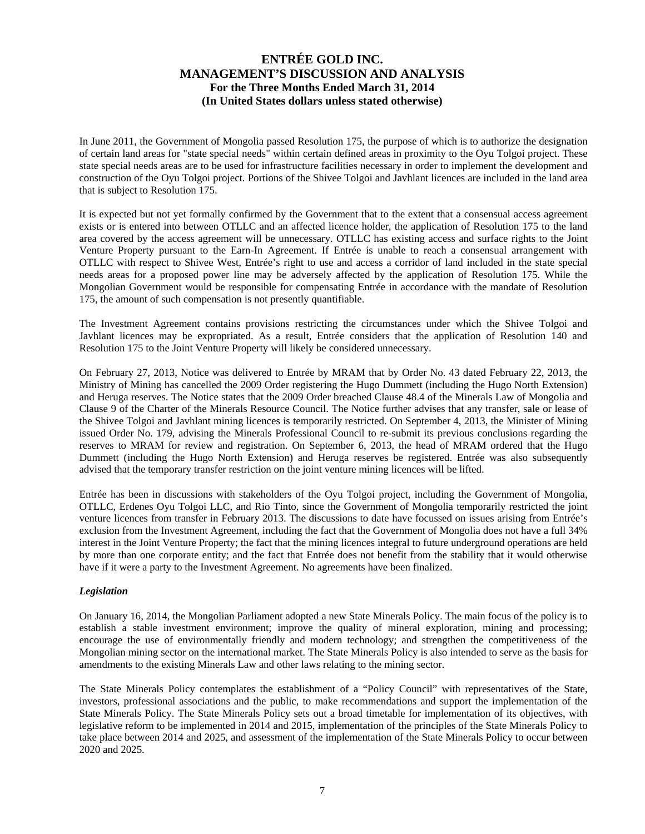In June 2011, the Government of Mongolia passed Resolution 175, the purpose of which is to authorize the designation of certain land areas for "state special needs" within certain defined areas in proximity to the Oyu Tolgoi project. These state special needs areas are to be used for infrastructure facilities necessary in order to implement the development and construction of the Oyu Tolgoi project. Portions of the Shivee Tolgoi and Javhlant licences are included in the land area that is subject to Resolution 175.

It is expected but not yet formally confirmed by the Government that to the extent that a consensual access agreement exists or is entered into between OTLLC and an affected licence holder, the application of Resolution 175 to the land area covered by the access agreement will be unnecessary. OTLLC has existing access and surface rights to the Joint Venture Property pursuant to the Earn-In Agreement. If Entrée is unable to reach a consensual arrangement with OTLLC with respect to Shivee West, Entrée's right to use and access a corridor of land included in the state special needs areas for a proposed power line may be adversely affected by the application of Resolution 175. While the Mongolian Government would be responsible for compensating Entrée in accordance with the mandate of Resolution 175, the amount of such compensation is not presently quantifiable.

The Investment Agreement contains provisions restricting the circumstances under which the Shivee Tolgoi and Javhlant licences may be expropriated. As a result, Entrée considers that the application of Resolution 140 and Resolution 175 to the Joint Venture Property will likely be considered unnecessary.

On February 27, 2013, Notice was delivered to Entrée by MRAM that by Order No. 43 dated February 22, 2013, the Ministry of Mining has cancelled the 2009 Order registering the Hugo Dummett (including the Hugo North Extension) and Heruga reserves. The Notice states that the 2009 Order breached Clause 48.4 of the Minerals Law of Mongolia and Clause 9 of the Charter of the Minerals Resource Council. The Notice further advises that any transfer, sale or lease of the Shivee Tolgoi and Javhlant mining licences is temporarily restricted. On September 4, 2013, the Minister of Mining issued Order No. 179, advising the Minerals Professional Council to re-submit its previous conclusions regarding the reserves to MRAM for review and registration. On September 6, 2013, the head of MRAM ordered that the Hugo Dummett (including the Hugo North Extension) and Heruga reserves be registered. Entrée was also subsequently advised that the temporary transfer restriction on the joint venture mining licences will be lifted.

Entrée has been in discussions with stakeholders of the Oyu Tolgoi project, including the Government of Mongolia, OTLLC, Erdenes Oyu Tolgoi LLC, and Rio Tinto, since the Government of Mongolia temporarily restricted the joint venture licences from transfer in February 2013. The discussions to date have focussed on issues arising from Entrée's exclusion from the Investment Agreement, including the fact that the Government of Mongolia does not have a full 34% interest in the Joint Venture Property; the fact that the mining licences integral to future underground operations are held by more than one corporate entity; and the fact that Entrée does not benefit from the stability that it would otherwise have if it were a party to the Investment Agreement. No agreements have been finalized.

### *Legislation*

On January 16, 2014, the Mongolian Parliament adopted a new State Minerals Policy. The main focus of the policy is to establish a stable investment environment; improve the quality of mineral exploration, mining and processing; encourage the use of environmentally friendly and modern technology; and strengthen the competitiveness of the Mongolian mining sector on the international market. The State Minerals Policy is also intended to serve as the basis for amendments to the existing Minerals Law and other laws relating to the mining sector.

The State Minerals Policy contemplates the establishment of a "Policy Council" with representatives of the State, investors, professional associations and the public, to make recommendations and support the implementation of the State Minerals Policy. The State Minerals Policy sets out a broad timetable for implementation of its objectives, with legislative reform to be implemented in 2014 and 2015, implementation of the principles of the State Minerals Policy to take place between 2014 and 2025, and assessment of the implementation of the State Minerals Policy to occur between 2020 and 2025.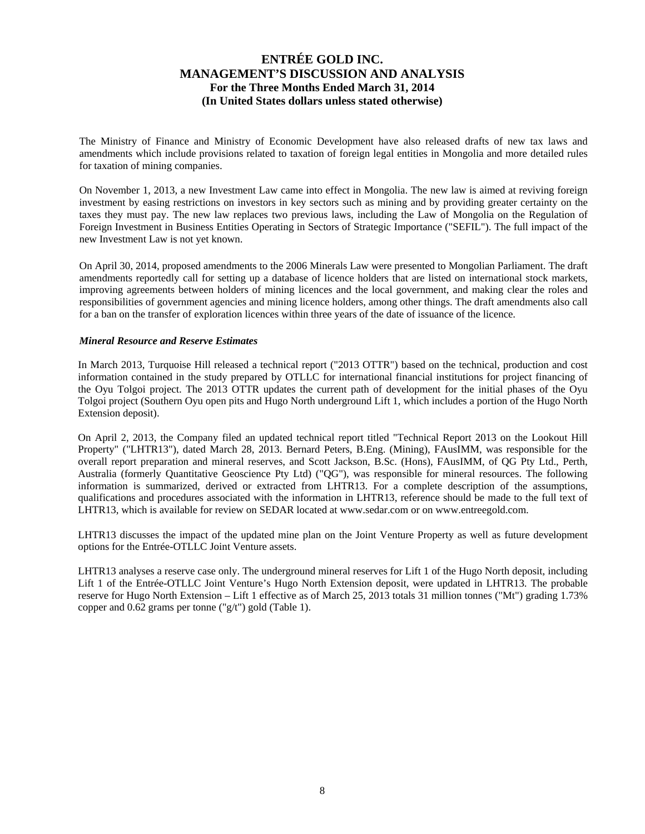The Ministry of Finance and Ministry of Economic Development have also released drafts of new tax laws and amendments which include provisions related to taxation of foreign legal entities in Mongolia and more detailed rules for taxation of mining companies.

On November 1, 2013, a new Investment Law came into effect in Mongolia. The new law is aimed at reviving foreign investment by easing restrictions on investors in key sectors such as mining and by providing greater certainty on the taxes they must pay. The new law replaces two previous laws, including the Law of Mongolia on the Regulation of Foreign Investment in Business Entities Operating in Sectors of Strategic Importance ("SEFIL"). The full impact of the new Investment Law is not yet known.

On April 30, 2014, proposed amendments to the 2006 Minerals Law were presented to Mongolian Parliament. The draft amendments reportedly call for setting up a database of licence holders that are listed on international stock markets, improving agreements between holders of mining licences and the local government, and making clear the roles and responsibilities of government agencies and mining licence holders, among other things. The draft amendments also call for a ban on the transfer of exploration licences within three years of the date of issuance of the licence.

### *Mineral Resource and Reserve Estimates*

In March 2013, Turquoise Hill released a technical report ("2013 OTTR") based on the technical, production and cost information contained in the study prepared by OTLLC for international financial institutions for project financing of the Oyu Tolgoi project. The 2013 OTTR updates the current path of development for the initial phases of the Oyu Tolgoi project (Southern Oyu open pits and Hugo North underground Lift 1, which includes a portion of the Hugo North Extension deposit).

On April 2, 2013, the Company filed an updated technical report titled "Technical Report 2013 on the Lookout Hill Property" ("LHTR13"), dated March 28, 2013. Bernard Peters, B.Eng. (Mining), FAusIMM, was responsible for the overall report preparation and mineral reserves, and Scott Jackson, B.Sc. (Hons), FAusIMM, of QG Pty Ltd., Perth, Australia (formerly Quantitative Geoscience Pty Ltd) ("QG"), was responsible for mineral resources. The following information is summarized, derived or extracted from LHTR13. For a complete description of the assumptions, qualifications and procedures associated with the information in LHTR13, reference should be made to the full text of LHTR13, which is available for review on SEDAR located at www.sedar.com or on www.entreegold.com.

LHTR13 discusses the impact of the updated mine plan on the Joint Venture Property as well as future development options for the Entrée-OTLLC Joint Venture assets.

LHTR13 analyses a reserve case only. The underground mineral reserves for Lift 1 of the Hugo North deposit, including Lift 1 of the Entrée-OTLLC Joint Venture's Hugo North Extension deposit, were updated in LHTR13. The probable reserve for Hugo North Extension – Lift 1 effective as of March 25, 2013 totals 31 million tonnes ("Mt") grading 1.73% copper and 0.62 grams per tonne ("g/t") gold (Table 1).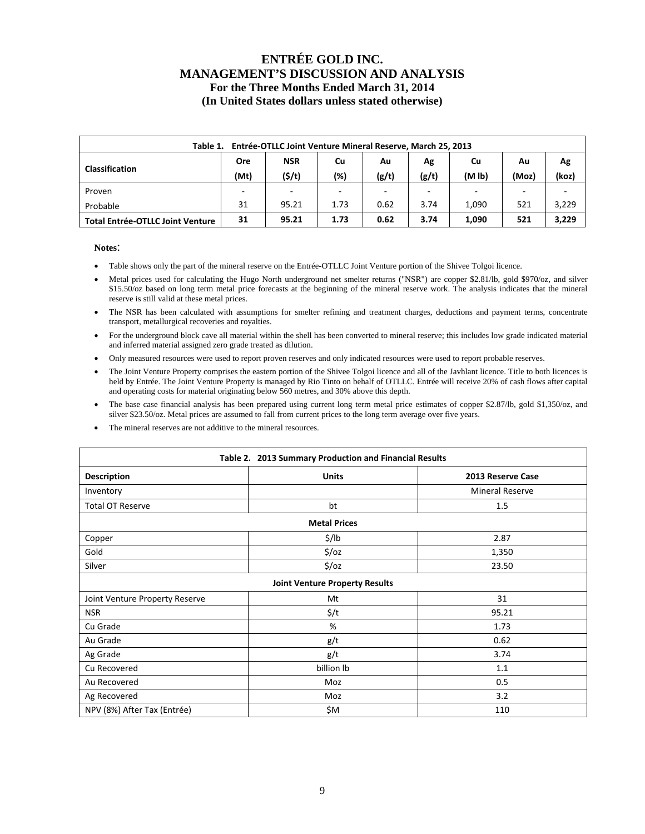| Table 1.<br>Entrée-OTLLC Joint Venture Mineral Reserve, March 25, 2013                                  |            |            |                          |       |       |                    |       |       |  |  |
|---------------------------------------------------------------------------------------------------------|------------|------------|--------------------------|-------|-------|--------------------|-------|-------|--|--|
|                                                                                                         | <b>Ore</b> | <b>NSR</b> | Cu                       | Au    | Ag    | Cu                 | Ag    |       |  |  |
| <b>Classification</b>                                                                                   | (Mt)       | (5/t)      | (%)                      | (g/t) | (g/t) | (M <sub>lb</sub> ) | (Moz) | (koz) |  |  |
| Proven                                                                                                  |            | $\sim$     | $\overline{\phantom{a}}$ | -     |       |                    |       |       |  |  |
| Probable                                                                                                | 31         | 95.21      | 1.73                     | 0.62  | 3.74  | 1.090              | 521   | 3,229 |  |  |
| 3,229<br>0.62<br>3.74<br>95.21<br>521<br>1.73<br>1,090<br>31<br><b>Total Entrée-OTLLC Joint Venture</b> |            |            |                          |       |       |                    |       |       |  |  |

#### **Notes**:

- Table shows only the part of the mineral reserve on the Entrée-OTLLC Joint Venture portion of the Shivee Tolgoi licence.
- Metal prices used for calculating the Hugo North underground net smelter returns ("NSR") are copper \$2.81/lb, gold \$970/oz, and silver \$15.50/oz based on long term metal price forecasts at the beginning of the mineral reserve work. The analysis indicates that the mineral reserve is still valid at these metal prices.
- The NSR has been calculated with assumptions for smelter refining and treatment charges, deductions and payment terms, concentrate transport, metallurgical recoveries and royalties.
- For the underground block cave all material within the shell has been converted to mineral reserve; this includes low grade indicated material and inferred material assigned zero grade treated as dilution.
- Only measured resources were used to report proven reserves and only indicated resources were used to report probable reserves.
- The Joint Venture Property comprises the eastern portion of the Shivee Tolgoi licence and all of the Javhlant licence. Title to both licences is held by Entrée. The Joint Venture Property is managed by Rio Tinto on behalf of OTLLC. Entrée will receive 20% of cash flows after capital and operating costs for material originating below 560 metres, and 30% above this depth.
- The base case financial analysis has been prepared using current long term metal price estimates of copper \$2.87/lb, gold \$1,350/oz, and silver \$23.50/oz. Metal prices are assumed to fall from current prices to the long term average over five years.
- The mineral reserves are not additive to the mineral resources.

| Table 2. 2013 Summary Production and Financial Results |                                       |                        |  |  |  |  |  |  |  |
|--------------------------------------------------------|---------------------------------------|------------------------|--|--|--|--|--|--|--|
| <b>Description</b>                                     | <b>Units</b>                          | 2013 Reserve Case      |  |  |  |  |  |  |  |
| Inventory                                              |                                       | <b>Mineral Reserve</b> |  |  |  |  |  |  |  |
| <b>Total OT Reserve</b>                                | bt                                    | 1.5                    |  |  |  |  |  |  |  |
| <b>Metal Prices</b>                                    |                                       |                        |  |  |  |  |  |  |  |
| Copper                                                 | \$/lb                                 | 2.87                   |  |  |  |  |  |  |  |
| Gold                                                   | $\frac{1}{2}$ /0z                     | 1,350                  |  |  |  |  |  |  |  |
| Silver                                                 | $\frac{1}{2}$ /oz                     | 23.50                  |  |  |  |  |  |  |  |
|                                                        | <b>Joint Venture Property Results</b> |                        |  |  |  |  |  |  |  |
| Joint Venture Property Reserve                         | Mt                                    | 31                     |  |  |  |  |  |  |  |
| <b>NSR</b>                                             | $\frac{2}{3}$ /t                      | 95.21                  |  |  |  |  |  |  |  |
| Cu Grade                                               | %                                     | 1.73                   |  |  |  |  |  |  |  |
| Au Grade                                               | g/t                                   | 0.62                   |  |  |  |  |  |  |  |
| Ag Grade                                               | g/t                                   | 3.74                   |  |  |  |  |  |  |  |
| Cu Recovered                                           | billion lb                            | 1.1                    |  |  |  |  |  |  |  |
| Au Recovered                                           | Moz                                   | 0.5                    |  |  |  |  |  |  |  |
| Ag Recovered                                           | Moz                                   | 3.2                    |  |  |  |  |  |  |  |
| NPV (8%) After Tax (Entrée)                            | \$M                                   | 110                    |  |  |  |  |  |  |  |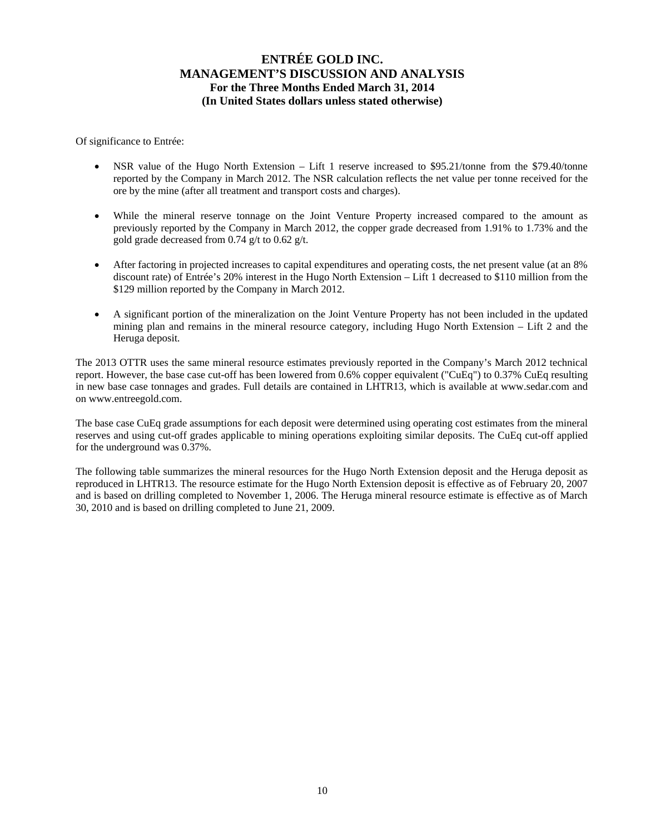Of significance to Entrée:

- NSR value of the Hugo North Extension Lift 1 reserve increased to \$95.21/tonne from the \$79.40/tonne reported by the Company in March 2012. The NSR calculation reflects the net value per tonne received for the ore by the mine (after all treatment and transport costs and charges).
- While the mineral reserve tonnage on the Joint Venture Property increased compared to the amount as previously reported by the Company in March 2012, the copper grade decreased from 1.91% to 1.73% and the gold grade decreased from 0.74 g/t to 0.62 g/t.
- After factoring in projected increases to capital expenditures and operating costs, the net present value (at an 8% discount rate) of Entrée's 20% interest in the Hugo North Extension – Lift 1 decreased to \$110 million from the \$129 million reported by the Company in March 2012.
- A significant portion of the mineralization on the Joint Venture Property has not been included in the updated mining plan and remains in the mineral resource category, including Hugo North Extension – Lift 2 and the Heruga deposit.

The 2013 OTTR uses the same mineral resource estimates previously reported in the Company's March 2012 technical report. However, the base case cut-off has been lowered from 0.6% copper equivalent ("CuEq") to 0.37% CuEq resulting in new base case tonnages and grades. Full details are contained in LHTR13, which is available at www.sedar.com and on www.entreegold.com.

The base case CuEq grade assumptions for each deposit were determined using operating cost estimates from the mineral reserves and using cut-off grades applicable to mining operations exploiting similar deposits. The CuEq cut-off applied for the underground was 0.37%.

The following table summarizes the mineral resources for the Hugo North Extension deposit and the Heruga deposit as reproduced in LHTR13. The resource estimate for the Hugo North Extension deposit is effective as of February 20, 2007 and is based on drilling completed to November 1, 2006. The Heruga mineral resource estimate is effective as of March 30, 2010 and is based on drilling completed to June 21, 2009.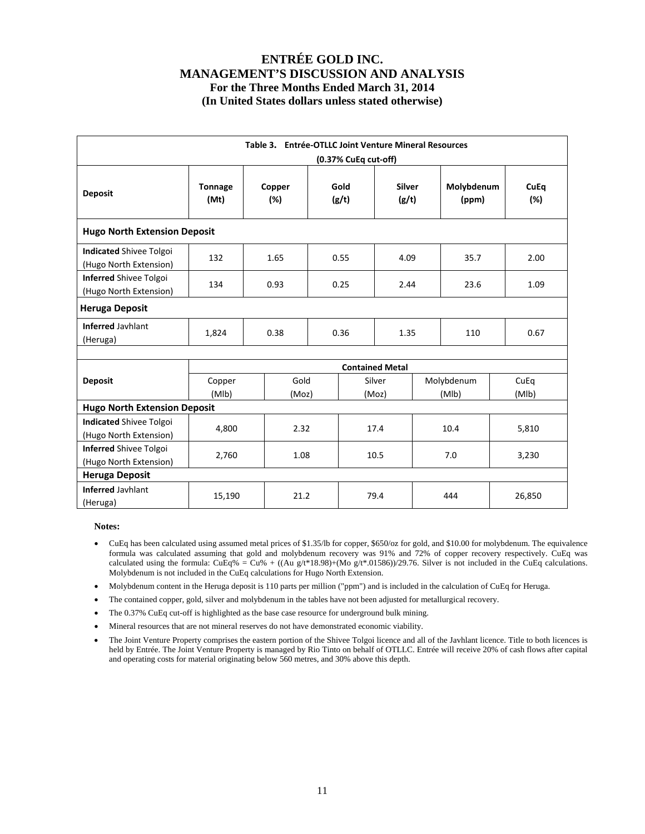|                                                          | Table 3. Entrée-OTLLC Joint Venture Mineral Resources<br>(0.37% CuEq cut-off) |                                                          |      |                     |                        |                     |                    |               |        |  |  |
|----------------------------------------------------------|-------------------------------------------------------------------------------|----------------------------------------------------------|------|---------------------|------------------------|---------------------|--------------------|---------------|--------|--|--|
| <b>Deposit</b>                                           | <b>Tonnage</b><br>(Mt)                                                        | Gold<br><b>Silver</b><br>Copper<br>(%)<br>(g/t)<br>(g/t) |      | Molybdenum<br>(ppm) |                        |                     | <b>CuEq</b><br>(%) |               |        |  |  |
| <b>Hugo North Extension Deposit</b>                      |                                                                               |                                                          |      |                     |                        |                     |                    |               |        |  |  |
| <b>Indicated Shivee Tolgoi</b><br>(Hugo North Extension) | 132                                                                           | 1.65                                                     |      | 0.55                | 4.09                   |                     | 35.7               |               | 2.00   |  |  |
| <b>Inferred Shivee Tolgoi</b><br>(Hugo North Extension)  | 134                                                                           | 0.93                                                     |      | 0.25                | 2.44                   |                     | 23.6               |               | 1.09   |  |  |
| <b>Heruga Deposit</b>                                    |                                                                               |                                                          |      |                     |                        |                     |                    |               |        |  |  |
| <b>Inferred Javhlant</b><br>(Heruga)                     | 1,824                                                                         | 0.38                                                     | 0.36 |                     | 1.35                   |                     | 110                |               | 0.67   |  |  |
|                                                          |                                                                               |                                                          |      |                     | <b>Contained Metal</b> |                     |                    |               |        |  |  |
| <b>Deposit</b>                                           | Copper<br>(MIb)                                                               | Gold<br>(Moz)                                            |      |                     | Silver<br>(Moz)        | Molybdenum<br>(Mlb) |                    | CuEq<br>(MIb) |        |  |  |
| <b>Hugo North Extension Deposit</b>                      |                                                                               |                                                          |      |                     |                        |                     |                    |               |        |  |  |
| <b>Indicated Shivee Tolgoi</b><br>(Hugo North Extension) | 4,800                                                                         | 2.32                                                     |      |                     | 17.4                   |                     | 10.4               |               | 5,810  |  |  |
| <b>Inferred Shivee Tolgoi</b><br>(Hugo North Extension)  | 2,760                                                                         | 1.08                                                     |      |                     | 10.5                   |                     | 7.0                |               | 3,230  |  |  |
| <b>Heruga Deposit</b>                                    |                                                                               |                                                          |      |                     |                        |                     |                    |               |        |  |  |
| <b>Inferred Javhlant</b><br>(Heruga)                     | 15,190                                                                        | 21.2                                                     |      |                     |                        | 79.4                |                    |               | 26,850 |  |  |

#### **Notes:**

- CuEq has been calculated using assumed metal prices of \$1.35/lb for copper, \$650/oz for gold, and \$10.00 for molybdenum. The equivalence formula was calculated assuming that gold and molybdenum recovery was 91% and 72% of copper recovery respectively. CuEq was calculated using the formula: CuEq% = Cu% + ((Au g/t\*18.98)+(Mo g/t\*.01586))/29.76. Silver is not included in the CuEq calculations. Molybdenum is not included in the CuEq calculations for Hugo North Extension.
- Molybdenum content in the Heruga deposit is 110 parts per million ("ppm") and is included in the calculation of CuEq for Heruga.
- The contained copper, gold, silver and molybdenum in the tables have not been adjusted for metallurgical recovery.
- The 0.37% CuEq cut-off is highlighted as the base case resource for underground bulk mining.
- Mineral resources that are not mineral reserves do not have demonstrated economic viability.
- The Joint Venture Property comprises the eastern portion of the Shivee Tolgoi licence and all of the Javhlant licence. Title to both licences is held by Entrée. The Joint Venture Property is managed by Rio Tinto on behalf of OTLLC. Entrée will receive 20% of cash flows after capital and operating costs for material originating below 560 metres, and 30% above this depth.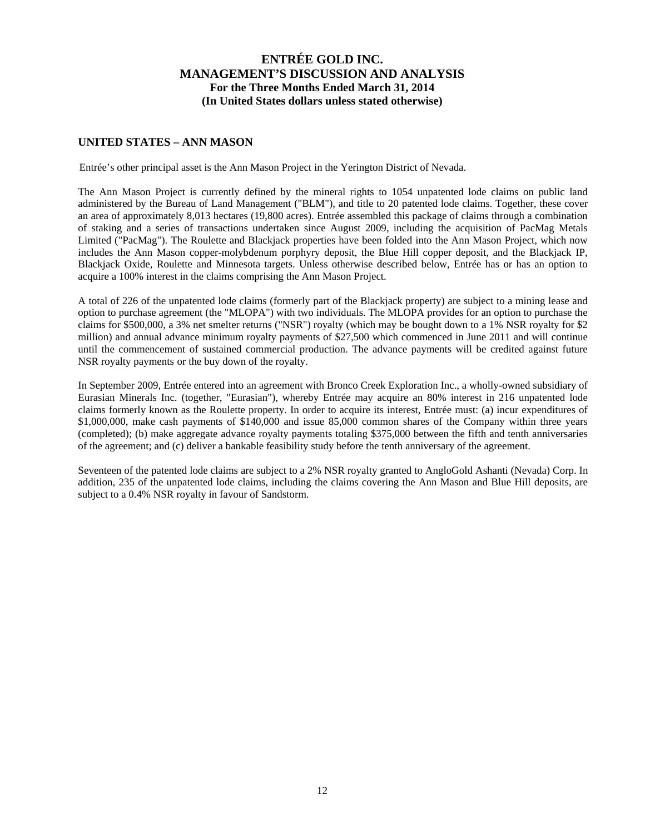## **UNITED STATES – ANN MASON**

Entrée's other principal asset is the Ann Mason Project in the Yerington District of Nevada.

The Ann Mason Project is currently defined by the mineral rights to 1054 unpatented lode claims on public land administered by the Bureau of Land Management ("BLM"), and title to 20 patented lode claims. Together, these cover an area of approximately 8,013 hectares (19,800 acres). Entrée assembled this package of claims through a combination of staking and a series of transactions undertaken since August 2009, including the acquisition of PacMag Metals Limited ("PacMag"). The Roulette and Blackjack properties have been folded into the Ann Mason Project, which now includes the Ann Mason copper-molybdenum porphyry deposit, the Blue Hill copper deposit, and the Blackjack IP, Blackjack Oxide, Roulette and Minnesota targets. Unless otherwise described below, Entrée has or has an option to acquire a 100% interest in the claims comprising the Ann Mason Project.

A total of 226 of the unpatented lode claims (formerly part of the Blackjack property) are subject to a mining lease and option to purchase agreement (the "MLOPA") with two individuals. The MLOPA provides for an option to purchase the claims for \$500,000, a 3% net smelter returns ("NSR") royalty (which may be bought down to a 1% NSR royalty for \$2 million) and annual advance minimum royalty payments of \$27,500 which commenced in June 2011 and will continue until the commencement of sustained commercial production. The advance payments will be credited against future NSR royalty payments or the buy down of the royalty.

In September 2009, Entrée entered into an agreement with Bronco Creek Exploration Inc., a wholly-owned subsidiary of Eurasian Minerals Inc. (together, "Eurasian"), whereby Entrée may acquire an 80% interest in 216 unpatented lode claims formerly known as the Roulette property. In order to acquire its interest, Entrée must: (a) incur expenditures of \$1,000,000, make cash payments of \$140,000 and issue 85,000 common shares of the Company within three years (completed); (b) make aggregate advance royalty payments totaling \$375,000 between the fifth and tenth anniversaries of the agreement; and (c) deliver a bankable feasibility study before the tenth anniversary of the agreement.

Seventeen of the patented lode claims are subject to a 2% NSR royalty granted to AngloGold Ashanti (Nevada) Corp. In addition, 235 of the unpatented lode claims, including the claims covering the Ann Mason and Blue Hill deposits, are subject to a 0.4% NSR royalty in favour of Sandstorm.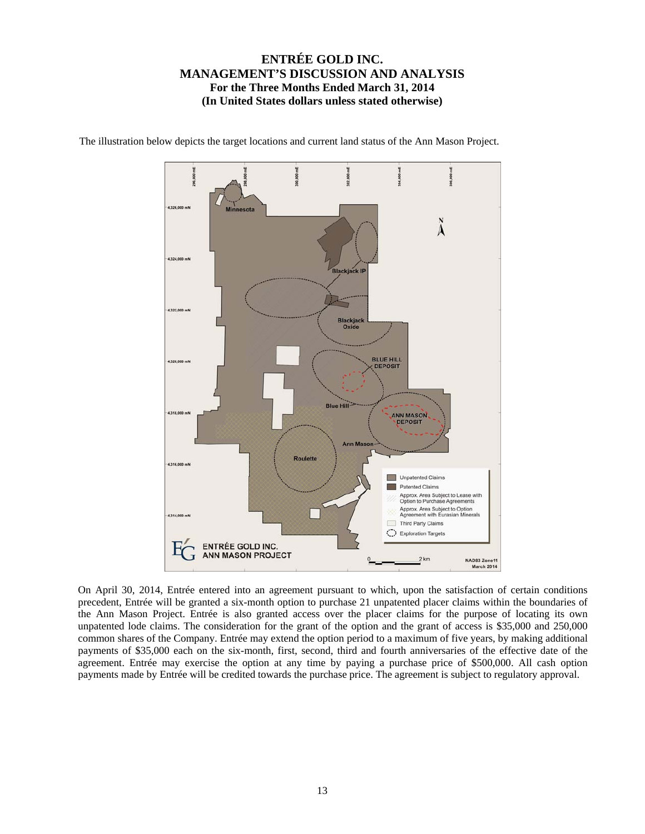

The illustration below depicts the target locations and current land status of the Ann Mason Project.

On April 30, 2014, Entrée entered into an agreement pursuant to which, upon the satisfaction of certain conditions precedent, Entrée will be granted a six-month option to purchase 21 unpatented placer claims within the boundaries of the Ann Mason Project. Entrée is also granted access over the placer claims for the purpose of locating its own unpatented lode claims. The consideration for the grant of the option and the grant of access is \$35,000 and 250,000 common shares of the Company. Entrée may extend the option period to a maximum of five years, by making additional payments of \$35,000 each on the six-month, first, second, third and fourth anniversaries of the effective date of the agreement. Entrée may exercise the option at any time by paying a purchase price of \$500,000. All cash option payments made by Entrée will be credited towards the purchase price. The agreement is subject to regulatory approval.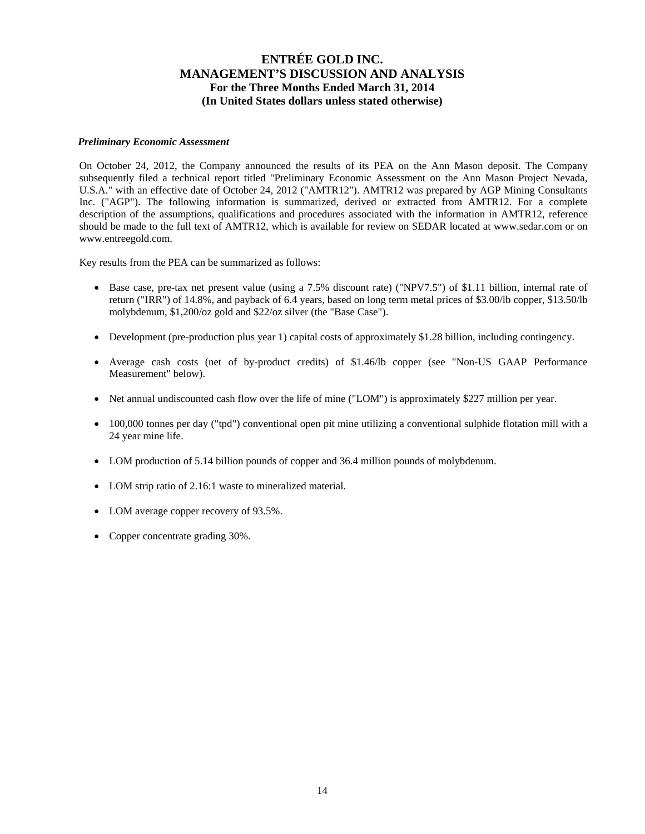#### *Preliminary Economic Assessment*

On October 24, 2012, the Company announced the results of its PEA on the Ann Mason deposit. The Company subsequently filed a technical report titled "Preliminary Economic Assessment on the Ann Mason Project Nevada, U.S.A." with an effective date of October 24, 2012 ("AMTR12"). AMTR12 was prepared by AGP Mining Consultants Inc. ("AGP"). The following information is summarized, derived or extracted from AMTR12. For a complete description of the assumptions, qualifications and procedures associated with the information in AMTR12, reference should be made to the full text of AMTR12, which is available for review on SEDAR located at www.sedar.com or on www.entreegold.com.

Key results from the PEA can be summarized as follows:

- Base case, pre-tax net present value (using a 7.5% discount rate) ("NPV7.5") of \$1.11 billion, internal rate of return ("IRR") of 14.8%, and payback of 6.4 years, based on long term metal prices of \$3.00/lb copper, \$13.50/lb molybdenum, \$1,200/oz gold and \$22/oz silver (the "Base Case").
- Development (pre-production plus year 1) capital costs of approximately \$1.28 billion, including contingency.
- Average cash costs (net of by-product credits) of \$1.46/lb copper (see "Non-US GAAP Performance Measurement" below).
- Net annual undiscounted cash flow over the life of mine ("LOM") is approximately \$227 million per year.
- 100,000 tonnes per day ("tpd") conventional open pit mine utilizing a conventional sulphide flotation mill with a 24 year mine life.
- LOM production of 5.14 billion pounds of copper and 36.4 million pounds of molybdenum.
- LOM strip ratio of 2.16:1 waste to mineralized material.
- LOM average copper recovery of 93.5%.
- Copper concentrate grading 30%.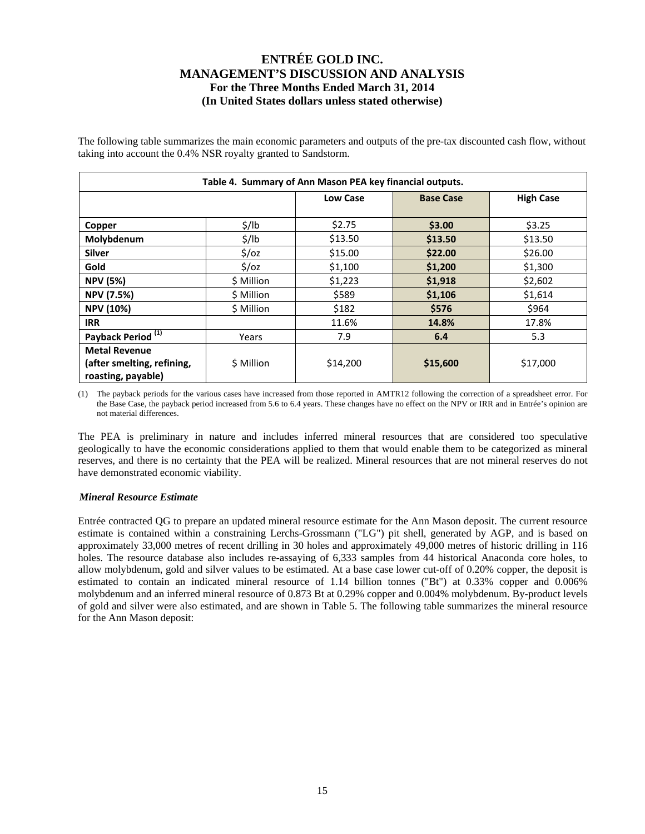The following table summarizes the main economic parameters and outputs of the pre-tax discounted cash flow, without taking into account the 0.4% NSR royalty granted to Sandstorm.

| Table 4. Summary of Ann Mason PEA key financial outputs.                 |                   |                 |                  |                  |  |  |  |  |  |  |
|--------------------------------------------------------------------------|-------------------|-----------------|------------------|------------------|--|--|--|--|--|--|
|                                                                          |                   | <b>Low Case</b> | <b>Base Case</b> | <b>High Case</b> |  |  |  |  |  |  |
| Copper                                                                   | $\frac{1}{2}$ /lb | \$2.75          | \$3.00           | \$3.25           |  |  |  |  |  |  |
| Molybdenum                                                               | \$/lb             | \$13.50         | \$13.50          | \$13.50          |  |  |  |  |  |  |
| <b>Silver</b>                                                            | $\frac{2}{3}$ /0z | \$15.00         | \$22.00          | \$26.00          |  |  |  |  |  |  |
| Gold                                                                     | $\frac{2}{3}$ /0z | \$1,100         | \$1,200          | \$1,300          |  |  |  |  |  |  |
| <b>NPV (5%)</b>                                                          | \$ Million        | \$1,223         | \$1,918          | \$2,602          |  |  |  |  |  |  |
| <b>NPV (7.5%)</b>                                                        | \$ Million        | \$589           | \$1,106          | \$1,614          |  |  |  |  |  |  |
| <b>NPV (10%)</b>                                                         | \$ Million        | \$182           | \$576            | \$964            |  |  |  |  |  |  |
| <b>IRR</b>                                                               |                   | 11.6%           | 14.8%            | 17.8%            |  |  |  |  |  |  |
| Payback Period <sup>(1)</sup>                                            | Years             | 7.9             | 6.4              | 5.3              |  |  |  |  |  |  |
| <b>Metal Revenue</b><br>(after smelting, refining,<br>roasting, payable) | \$ Million        | \$14,200        | \$15,600         | \$17,000         |  |  |  |  |  |  |

(1) The payback periods for the various cases have increased from those reported in AMTR12 following the correction of a spreadsheet error. For the Base Case, the payback period increased from 5.6 to 6.4 years. These changes have no effect on the NPV or IRR and in Entrée's opinion are not material differences.

The PEA is preliminary in nature and includes inferred mineral resources that are considered too speculative geologically to have the economic considerations applied to them that would enable them to be categorized as mineral reserves, and there is no certainty that the PEA will be realized. Mineral resources that are not mineral reserves do not have demonstrated economic viability.

#### *Mineral Resource Estimate*

Entrée contracted QG to prepare an updated mineral resource estimate for the Ann Mason deposit. The current resource estimate is contained within a constraining Lerchs-Grossmann ("LG") pit shell, generated by AGP, and is based on approximately 33,000 metres of recent drilling in 30 holes and approximately 49,000 metres of historic drilling in 116 holes. The resource database also includes re-assaying of 6,333 samples from 44 historical Anaconda core holes, to allow molybdenum, gold and silver values to be estimated. At a base case lower cut-off of 0.20% copper, the deposit is estimated to contain an indicated mineral resource of 1.14 billion tonnes ("Bt") at 0.33% copper and 0.006% molybdenum and an inferred mineral resource of 0.873 Bt at 0.29% copper and 0.004% molybdenum. By-product levels of gold and silver were also estimated, and are shown in Table 5. The following table summarizes the mineral resource for the Ann Mason deposit: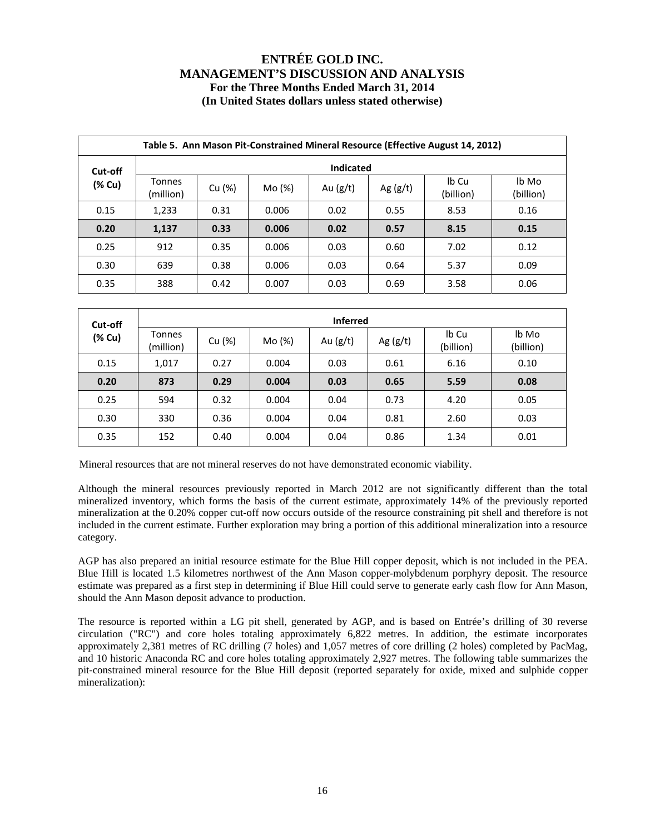|         | Table 5. Ann Mason Pit-Constrained Mineral Resource (Effective August 14, 2012) |        |        |                          |      |                    |                    |  |  |  |  |
|---------|---------------------------------------------------------------------------------|--------|--------|--------------------------|------|--------------------|--------------------|--|--|--|--|
| Cut-off | <b>Indicated</b>                                                                |        |        |                          |      |                    |                    |  |  |  |  |
| (% Cu)  | Tonnes<br>(million)                                                             | Cu (%) | Mo (%) | Au $(g/t)$<br>Ag $(g/t)$ |      | Ib Cu<br>(billion) | lb Mo<br>(billion) |  |  |  |  |
| 0.15    | 1,233                                                                           | 0.31   | 0.006  | 0.02                     | 0.55 | 8.53               | 0.16               |  |  |  |  |
| 0.20    | 1,137                                                                           | 0.33   | 0.006  | 0.02                     | 0.57 | 8.15               | 0.15               |  |  |  |  |
| 0.25    | 912                                                                             | 0.35   | 0.006  | 0.03                     | 0.60 | 7.02               | 0.12               |  |  |  |  |
| 0.30    | 639                                                                             | 0.38   | 0.006  | 0.03                     | 0.64 | 5.37               | 0.09               |  |  |  |  |
| 0.35    | 388                                                                             | 0.42   | 0.007  | 0.03                     | 0.69 | 3.58               | 0.06               |  |  |  |  |

| Cut-off | <b>Inferred</b>     |        |        |            |            |                    |                    |  |  |  |  |  |
|---------|---------------------|--------|--------|------------|------------|--------------------|--------------------|--|--|--|--|--|
| (% Cu)  | Tonnes<br>(million) | Cu (%) | Mo (%) | Au $(g/t)$ | Ag $(g/t)$ | Ib Cu<br>(billion) | lb Mo<br>(billion) |  |  |  |  |  |
| 0.15    | 1,017               | 0.27   | 0.004  | 0.03       | 0.61       | 6.16               | 0.10               |  |  |  |  |  |
| 0.20    | 873                 | 0.29   | 0.004  | 0.03       | 0.65       | 5.59               | 0.08               |  |  |  |  |  |
| 0.25    | 594                 | 0.32   | 0.004  | 0.04       | 0.73       | 4.20               | 0.05               |  |  |  |  |  |
| 0.30    | 330                 | 0.36   | 0.004  | 0.04       | 0.81       | 2.60               | 0.03               |  |  |  |  |  |
| 0.35    | 152                 | 0.40   | 0.004  | 0.04       | 0.86       | 1.34               | 0.01               |  |  |  |  |  |

Mineral resources that are not mineral reserves do not have demonstrated economic viability.

Although the mineral resources previously reported in March 2012 are not significantly different than the total mineralized inventory, which forms the basis of the current estimate, approximately 14% of the previously reported mineralization at the 0.20% copper cut-off now occurs outside of the resource constraining pit shell and therefore is not included in the current estimate. Further exploration may bring a portion of this additional mineralization into a resource category.

AGP has also prepared an initial resource estimate for the Blue Hill copper deposit, which is not included in the PEA. Blue Hill is located 1.5 kilometres northwest of the Ann Mason copper-molybdenum porphyry deposit. The resource estimate was prepared as a first step in determining if Blue Hill could serve to generate early cash flow for Ann Mason, should the Ann Mason deposit advance to production.

The resource is reported within a LG pit shell, generated by AGP, and is based on Entrée's drilling of 30 reverse circulation ("RC") and core holes totaling approximately 6,822 metres. In addition, the estimate incorporates approximately 2,381 metres of RC drilling (7 holes) and 1,057 metres of core drilling (2 holes) completed by PacMag, and 10 historic Anaconda RC and core holes totaling approximately 2,927 metres. The following table summarizes the pit-constrained mineral resource for the Blue Hill deposit (reported separately for oxide, mixed and sulphide copper mineralization):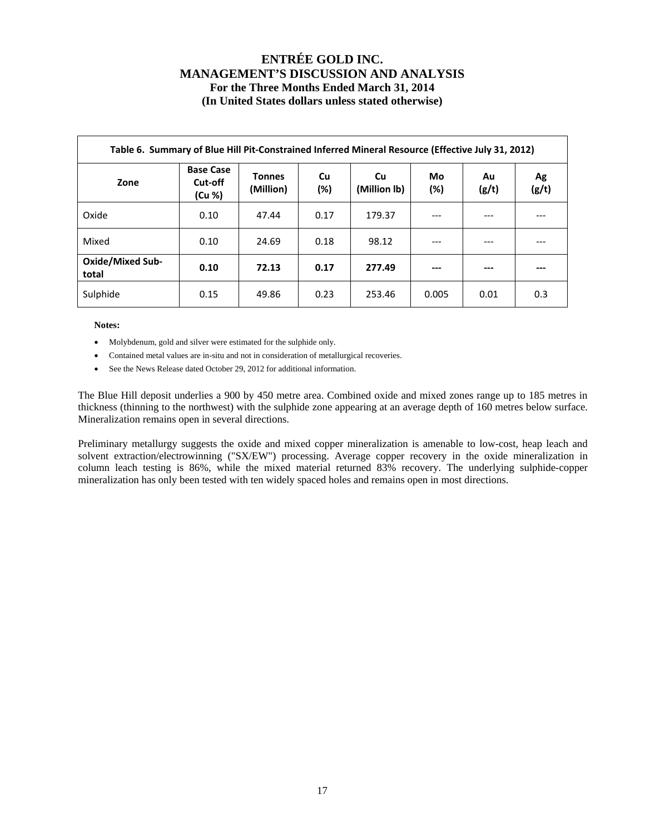| Table 6. Summary of Blue Hill Pit-Constrained Inferred Mineral Resource (Effective July 31, 2012) |                                       |                            |              |                    |              |             |             |  |  |  |  |  |
|---------------------------------------------------------------------------------------------------|---------------------------------------|----------------------------|--------------|--------------------|--------------|-------------|-------------|--|--|--|--|--|
| Zone                                                                                              | <b>Base Case</b><br>Cut-off<br>(Cu %) | <b>Tonnes</b><br>(Million) | Cu<br>$(\%)$ | Cu<br>(Million lb) | Mo<br>$(\%)$ | Au<br>(g/t) | Ag<br>(g/t) |  |  |  |  |  |
| Oxide                                                                                             | 0.10                                  | 47.44                      | 0.17         | 179.37             | ---          | ---         |             |  |  |  |  |  |
| Mixed                                                                                             | 0.10                                  | 24.69                      | 0.18         | 98.12              | $---$        | ---         | ---         |  |  |  |  |  |
| <b>Oxide/Mixed Sub-</b><br>total                                                                  | 0.10                                  | 72.13                      | 0.17         | 277.49             | ---          | ---         |             |  |  |  |  |  |
| Sulphide                                                                                          | 0.15                                  | 49.86                      | 0.23         | 253.46             | 0.005        | 0.01        | 0.3         |  |  |  |  |  |

**Notes:** 

- Molybdenum, gold and silver were estimated for the sulphide only.
- Contained metal values are in-situ and not in consideration of metallurgical recoveries.
- See the News Release dated October 29, 2012 for additional information.

The Blue Hill deposit underlies a 900 by 450 metre area. Combined oxide and mixed zones range up to 185 metres in thickness (thinning to the northwest) with the sulphide zone appearing at an average depth of 160 metres below surface. Mineralization remains open in several directions.

Preliminary metallurgy suggests the oxide and mixed copper mineralization is amenable to low-cost, heap leach and solvent extraction/electrowinning ("SX/EW") processing. Average copper recovery in the oxide mineralization in column leach testing is 86%, while the mixed material returned 83% recovery. The underlying sulphide-copper mineralization has only been tested with ten widely spaced holes and remains open in most directions.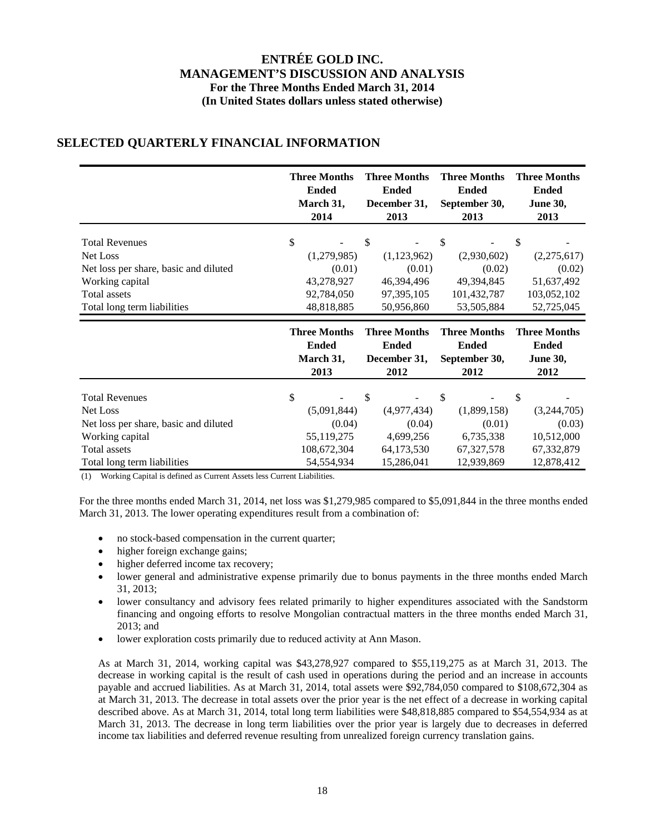|                                       | <b>Three Months</b> | <b>Three Months</b> | <b>Three Months</b> | <b>Three Months</b> |
|---------------------------------------|---------------------|---------------------|---------------------|---------------------|
|                                       | <b>Ended</b>        | <b>Ended</b>        | <b>Ended</b>        | <b>Ended</b>        |
|                                       | March 31,           | December 31,        | September 30,       | <b>June 30,</b>     |
|                                       | 2014                | 2013                | 2013                | 2013                |
| <b>Total Revenues</b>                 | \$                  | \$                  | \$                  | \$                  |
| Net Loss                              | (1,279,985)         | (1,123,962)         | (2,930,602)         | (2,275,617)         |
| Net loss per share, basic and diluted | (0.01)              | (0.01)              | (0.02)              | (0.02)              |
| Working capital                       | 43,278,927          | 46,394,496          | 49,394,845          | 51,637,492          |
| Total assets                          | 92,784,050          | 97,395,105          | 101,432,787         | 103,052,102         |
| Total long term liabilities           | 48,818,885          | 50,956,860          | 53,505,884          | 52,725,045          |
|                                       | <b>Three Months</b> | <b>Three Months</b> | <b>Three Months</b> | <b>Three Months</b> |
|                                       | <b>Ended</b>        | <b>Ended</b>        | <b>Ended</b>        | <b>Ended</b>        |
|                                       | March 31,           | December 31,        | September 30,       | <b>June 30,</b>     |
|                                       | 2013                | 2012                | 2012                | 2012                |
| <b>Total Revenues</b>                 | \$                  | \$                  | \$                  | \$                  |
| Net Loss                              | (5,091,844)         | (4,977,434)         | (1,899,158)         | (3,244,705)         |
| Net loss per share, basic and diluted | (0.04)              | (0.04)              | (0.01)              | (0.03)              |

## **SELECTED QUARTERLY FINANCIAL INFORMATION**

(1) Working Capital is defined as Current Assets less Current Liabilities.

For the three months ended March 31, 2014, net loss was \$1,279,985 compared to \$5,091,844 in the three months ended March 31, 2013. The lower operating expenditures result from a combination of:

- no stock-based compensation in the current quarter;
- higher foreign exchange gains;
- higher deferred income tax recovery;
- lower general and administrative expense primarily due to bonus payments in the three months ended March 31, 2013;
- lower consultancy and advisory fees related primarily to higher expenditures associated with the Sandstorm financing and ongoing efforts to resolve Mongolian contractual matters in the three months ended March 31, 2013; and
- lower exploration costs primarily due to reduced activity at Ann Mason.

As at March 31, 2014, working capital was \$43,278,927 compared to \$55,119,275 as at March 31, 2013. The decrease in working capital is the result of cash used in operations during the period and an increase in accounts payable and accrued liabilities. As at March 31, 2014, total assets were \$92,784,050 compared to \$108,672,304 as at March 31, 2013. The decrease in total assets over the prior year is the net effect of a decrease in working capital described above. As at March 31, 2014, total long term liabilities were \$48,818,885 compared to \$54,554,934 as at March 31, 2013. The decrease in long term liabilities over the prior year is largely due to decreases in deferred income tax liabilities and deferred revenue resulting from unrealized foreign currency translation gains.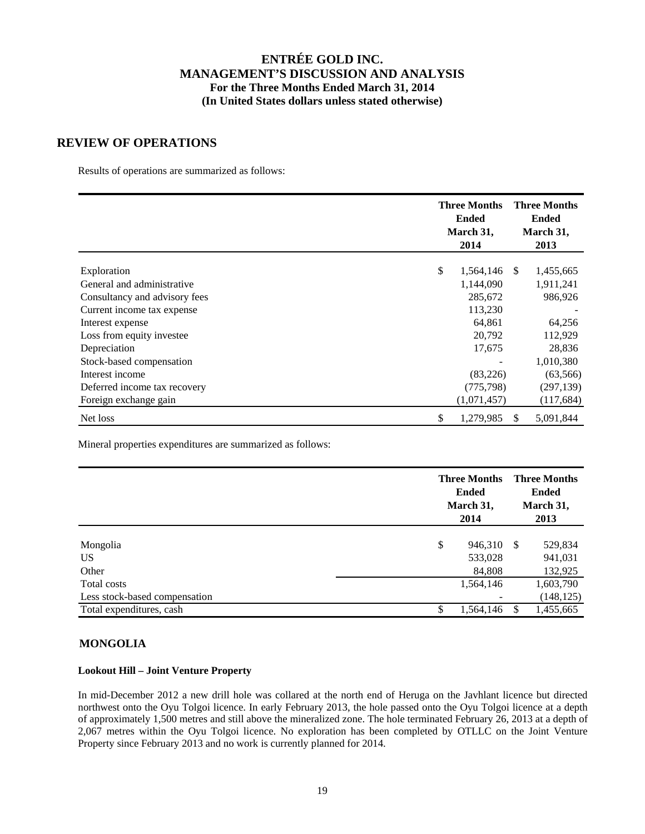## **REVIEW OF OPERATIONS**

Results of operations are summarized as follows:

|                               | <b>Three Months</b><br><b>Ended</b><br>March 31,<br>2014 |             |               | <b>Three Months</b><br><b>Ended</b><br>March 31,<br>2013 |  |
|-------------------------------|----------------------------------------------------------|-------------|---------------|----------------------------------------------------------|--|
| Exploration                   | \$                                                       | 1,564,146   | <sup>\$</sup> | 1,455,665                                                |  |
| General and administrative    |                                                          | 1,144,090   |               | 1,911,241                                                |  |
| Consultancy and advisory fees |                                                          | 285,672     |               | 986,926                                                  |  |
| Current income tax expense    |                                                          | 113,230     |               |                                                          |  |
| Interest expense              |                                                          | 64,861      |               | 64,256                                                   |  |
| Loss from equity investee     |                                                          | 20,792      |               | 112,929                                                  |  |
| Depreciation                  |                                                          | 17,675      |               | 28,836                                                   |  |
| Stock-based compensation      |                                                          |             |               | 1,010,380                                                |  |
| Interest income               |                                                          | (83, 226)   |               | (63, 566)                                                |  |
| Deferred income tax recovery  |                                                          | (775, 798)  |               | (297, 139)                                               |  |
| Foreign exchange gain         |                                                          | (1,071,457) |               | (117, 684)                                               |  |
| Net loss                      | \$                                                       | 1,279,985   | S             | 5,091,844                                                |  |

Mineral properties expenditures are summarized as follows:

|                                              | <b>Three Months</b><br><b>Ended</b><br>March 31,<br>2014 |                              |     | <b>Three Months</b><br><b>Ended</b><br>March 31,<br>2013 |  |  |
|----------------------------------------------|----------------------------------------------------------|------------------------------|-----|----------------------------------------------------------|--|--|
| Mongolia<br>US.<br>Other                     | \$                                                       | 946,310<br>533,028<br>84,808 | - S | 529,834<br>941,031<br>132,925                            |  |  |
| Total costs<br>Less stock-based compensation |                                                          | 1,564,146                    |     | 1,603,790<br>(148, 125)                                  |  |  |
| Total expenditures, cash                     |                                                          | 1,564,146                    |     | 1,455,665                                                |  |  |

## **MONGOLIA**

#### **Lookout Hill – Joint Venture Property**

In mid-December 2012 a new drill hole was collared at the north end of Heruga on the Javhlant licence but directed northwest onto the Oyu Tolgoi licence. In early February 2013, the hole passed onto the Oyu Tolgoi licence at a depth of approximately 1,500 metres and still above the mineralized zone. The hole terminated February 26, 2013 at a depth of 2,067 metres within the Oyu Tolgoi licence. No exploration has been completed by OTLLC on the Joint Venture Property since February 2013 and no work is currently planned for 2014.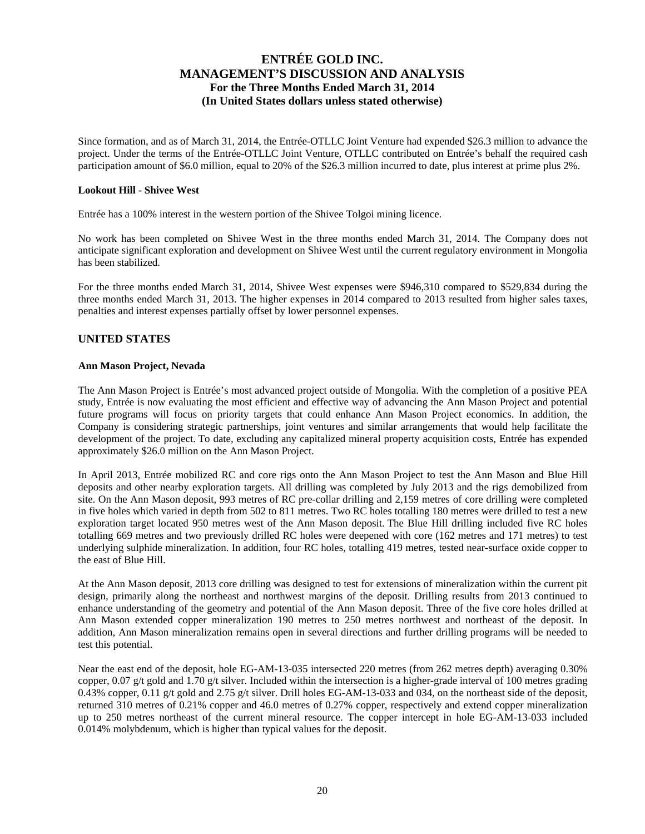Since formation, and as of March 31, 2014, the Entrée-OTLLC Joint Venture had expended \$26.3 million to advance the project. Under the terms of the Entrée-OTLLC Joint Venture, OTLLC contributed on Entrée's behalf the required cash participation amount of \$6.0 million, equal to 20% of the \$26.3 million incurred to date, plus interest at prime plus 2%.

### **Lookout Hill - Shivee West**

Entrée has a 100% interest in the western portion of the Shivee Tolgoi mining licence.

No work has been completed on Shivee West in the three months ended March 31, 2014. The Company does not anticipate significant exploration and development on Shivee West until the current regulatory environment in Mongolia has been stabilized.

For the three months ended March 31, 2014, Shivee West expenses were \$946,310 compared to \$529,834 during the three months ended March 31, 2013. The higher expenses in 2014 compared to 2013 resulted from higher sales taxes, penalties and interest expenses partially offset by lower personnel expenses.

## **UNITED STATES**

### **Ann Mason Project, Nevada**

The Ann Mason Project is Entrée's most advanced project outside of Mongolia. With the completion of a positive PEA study, Entrée is now evaluating the most efficient and effective way of advancing the Ann Mason Project and potential future programs will focus on priority targets that could enhance Ann Mason Project economics. In addition, the Company is considering strategic partnerships, joint ventures and similar arrangements that would help facilitate the development of the project. To date, excluding any capitalized mineral property acquisition costs, Entrée has expended approximately \$26.0 million on the Ann Mason Project.

In April 2013, Entrée mobilized RC and core rigs onto the Ann Mason Project to test the Ann Mason and Blue Hill deposits and other nearby exploration targets. All drilling was completed by July 2013 and the rigs demobilized from site. On the Ann Mason deposit, 993 metres of RC pre-collar drilling and 2,159 metres of core drilling were completed in five holes which varied in depth from 502 to 811 metres. Two RC holes totalling 180 metres were drilled to test a new exploration target located 950 metres west of the Ann Mason deposit. The Blue Hill drilling included five RC holes totalling 669 metres and two previously drilled RC holes were deepened with core (162 metres and 171 metres) to test underlying sulphide mineralization. In addition, four RC holes, totalling 419 metres, tested near-surface oxide copper to the east of Blue Hill.

At the Ann Mason deposit, 2013 core drilling was designed to test for extensions of mineralization within the current pit design, primarily along the northeast and northwest margins of the deposit. Drilling results from 2013 continued to enhance understanding of the geometry and potential of the Ann Mason deposit. Three of the five core holes drilled at Ann Mason extended copper mineralization 190 metres to 250 metres northwest and northeast of the deposit. In addition, Ann Mason mineralization remains open in several directions and further drilling programs will be needed to test this potential.

Near the east end of the deposit, hole EG-AM-13-035 intersected 220 metres (from 262 metres depth) averaging 0.30% copper, 0.07 g/t gold and 1.70 g/t silver. Included within the intersection is a higher-grade interval of 100 metres grading 0.43% copper, 0.11 g/t gold and 2.75 g/t silver. Drill holes EG-AM-13-033 and 034, on the northeast side of the deposit, returned 310 metres of 0.21% copper and 46.0 metres of 0.27% copper, respectively and extend copper mineralization up to 250 metres northeast of the current mineral resource. The copper intercept in hole EG-AM-13-033 included 0.014% molybdenum, which is higher than typical values for the deposit.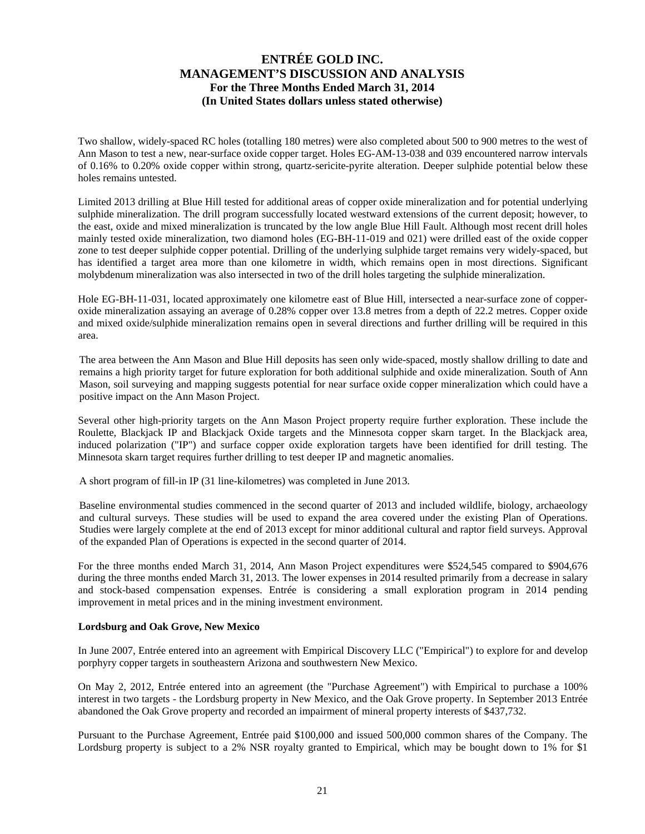Two shallow, widely-spaced RC holes (totalling 180 metres) were also completed about 500 to 900 metres to the west of Ann Mason to test a new, near-surface oxide copper target. Holes EG-AM-13-038 and 039 encountered narrow intervals of 0.16% to 0.20% oxide copper within strong, quartz-sericite-pyrite alteration. Deeper sulphide potential below these holes remains untested.

Limited 2013 drilling at Blue Hill tested for additional areas of copper oxide mineralization and for potential underlying sulphide mineralization. The drill program successfully located westward extensions of the current deposit; however, to the east, oxide and mixed mineralization is truncated by the low angle Blue Hill Fault. Although most recent drill holes mainly tested oxide mineralization, two diamond holes (EG-BH-11-019 and 021) were drilled east of the oxide copper zone to test deeper sulphide copper potential. Drilling of the underlying sulphide target remains very widely-spaced, but has identified a target area more than one kilometre in width, which remains open in most directions. Significant molybdenum mineralization was also intersected in two of the drill holes targeting the sulphide mineralization.

Hole EG-BH-11-031, located approximately one kilometre east of Blue Hill, intersected a near-surface zone of copperoxide mineralization assaying an average of 0.28% copper over 13.8 metres from a depth of 22.2 metres. Copper oxide and mixed oxide/sulphide mineralization remains open in several directions and further drilling will be required in this area.

The area between the Ann Mason and Blue Hill deposits has seen only wide-spaced, mostly shallow drilling to date and remains a high priority target for future exploration for both additional sulphide and oxide mineralization. South of Ann Mason, soil surveying and mapping suggests potential for near surface oxide copper mineralization which could have a positive impact on the Ann Mason Project.

Several other high-priority targets on the Ann Mason Project property require further exploration. These include the Roulette, Blackjack IP and Blackjack Oxide targets and the Minnesota copper skarn target. In the Blackjack area, induced polarization ("IP") and surface copper oxide exploration targets have been identified for drill testing. The Minnesota skarn target requires further drilling to test deeper IP and magnetic anomalies.

A short program of fill-in IP (31 line-kilometres) was completed in June 2013.

Baseline environmental studies commenced in the second quarter of 2013 and included wildlife, biology, archaeology and cultural surveys. These studies will be used to expand the area covered under the existing Plan of Operations. Studies were largely complete at the end of 2013 except for minor additional cultural and raptor field surveys. Approval of the expanded Plan of Operations is expected in the second quarter of 2014.

For the three months ended March 31, 2014, Ann Mason Project expenditures were \$524,545 compared to \$904,676 during the three months ended March 31, 2013. The lower expenses in 2014 resulted primarily from a decrease in salary and stock-based compensation expenses. Entrée is considering a small exploration program in 2014 pending improvement in metal prices and in the mining investment environment.

### **Lordsburg and Oak Grove, New Mexico**

In June 2007, Entrée entered into an agreement with Empirical Discovery LLC ("Empirical") to explore for and develop porphyry copper targets in southeastern Arizona and southwestern New Mexico.

On May 2, 2012, Entrée entered into an agreement (the "Purchase Agreement") with Empirical to purchase a 100% interest in two targets - the Lordsburg property in New Mexico, and the Oak Grove property. In September 2013 Entrée abandoned the Oak Grove property and recorded an impairment of mineral property interests of \$437,732.

Pursuant to the Purchase Agreement, Entrée paid \$100,000 and issued 500,000 common shares of the Company. The Lordsburg property is subject to a 2% NSR royalty granted to Empirical, which may be bought down to 1% for \$1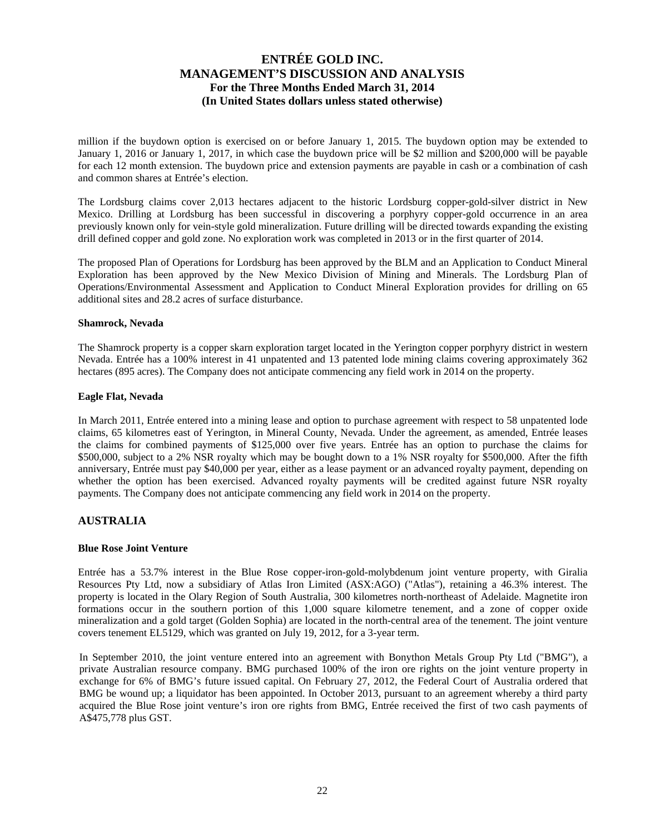million if the buydown option is exercised on or before January 1, 2015. The buydown option may be extended to January 1, 2016 or January 1, 2017, in which case the buydown price will be \$2 million and \$200,000 will be payable for each 12 month extension. The buydown price and extension payments are payable in cash or a combination of cash and common shares at Entrée's election.

The Lordsburg claims cover 2,013 hectares adjacent to the historic Lordsburg copper-gold-silver district in New Mexico. Drilling at Lordsburg has been successful in discovering a porphyry copper-gold occurrence in an area previously known only for vein-style gold mineralization. Future drilling will be directed towards expanding the existing drill defined copper and gold zone. No exploration work was completed in 2013 or in the first quarter of 2014.

The proposed Plan of Operations for Lordsburg has been approved by the BLM and an Application to Conduct Mineral Exploration has been approved by the New Mexico Division of Mining and Minerals. The Lordsburg Plan of Operations/Environmental Assessment and Application to Conduct Mineral Exploration provides for drilling on 65 additional sites and 28.2 acres of surface disturbance.

#### **Shamrock, Nevada**

The Shamrock property is a copper skarn exploration target located in the Yerington copper porphyry district in western Nevada. Entrée has a 100% interest in 41 unpatented and 13 patented lode mining claims covering approximately 362 hectares (895 acres). The Company does not anticipate commencing any field work in 2014 on the property.

### **Eagle Flat, Nevada**

In March 2011, Entrée entered into a mining lease and option to purchase agreement with respect to 58 unpatented lode claims, 65 kilometres east of Yerington, in Mineral County, Nevada. Under the agreement, as amended, Entrée leases the claims for combined payments of \$125,000 over five years. Entrée has an option to purchase the claims for \$500,000, subject to a 2% NSR royalty which may be bought down to a 1% NSR royalty for \$500,000. After the fifth anniversary, Entrée must pay \$40,000 per year, either as a lease payment or an advanced royalty payment, depending on whether the option has been exercised. Advanced royalty payments will be credited against future NSR royalty payments. The Company does not anticipate commencing any field work in 2014 on the property.

## **AUSTRALIA**

### **Blue Rose Joint Venture**

Entrée has a 53.7% interest in the Blue Rose copper-iron-gold-molybdenum joint venture property, with Giralia Resources Pty Ltd, now a subsidiary of Atlas Iron Limited (ASX:AGO) ("Atlas"), retaining a 46.3% interest. The property is located in the Olary Region of South Australia, 300 kilometres north-northeast of Adelaide. Magnetite iron formations occur in the southern portion of this 1,000 square kilometre tenement, and a zone of copper oxide mineralization and a gold target (Golden Sophia) are located in the north-central area of the tenement. The joint venture covers tenement EL5129, which was granted on July 19, 2012, for a 3-year term.

In September 2010, the joint venture entered into an agreement with Bonython Metals Group Pty Ltd ("BMG"), a private Australian resource company. BMG purchased 100% of the iron ore rights on the joint venture property in exchange for 6% of BMG's future issued capital. On February 27, 2012, the Federal Court of Australia ordered that BMG be wound up; a liquidator has been appointed. In October 2013, pursuant to an agreement whereby a third party acquired the Blue Rose joint venture's iron ore rights from BMG, Entrée received the first of two cash payments of A\$475,778 plus GST.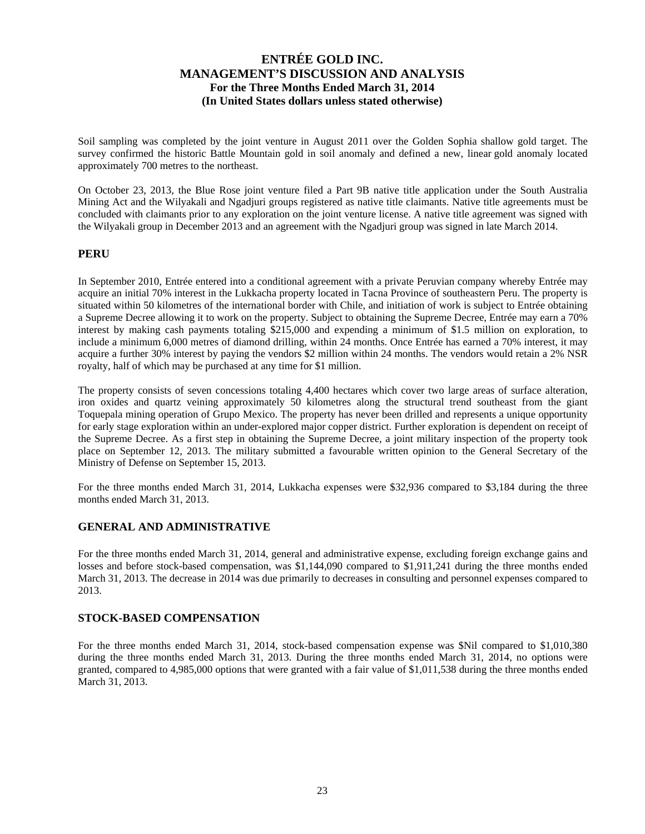Soil sampling was completed by the joint venture in August 2011 over the Golden Sophia shallow gold target. The survey confirmed the historic Battle Mountain gold in soil anomaly and defined a new, linear gold anomaly located approximately 700 metres to the northeast.

On October 23, 2013, the Blue Rose joint venture filed a Part 9B native title application under the South Australia Mining Act and the Wilyakali and Ngadjuri groups registered as native title claimants. Native title agreements must be concluded with claimants prior to any exploration on the joint venture license. A native title agreement was signed with the Wilyakali group in December 2013 and an agreement with the Ngadjuri group was signed in late March 2014.

### **PERU**

In September 2010, Entrée entered into a conditional agreement with a private Peruvian company whereby Entrée may acquire an initial 70% interest in the Lukkacha property located in Tacna Province of southeastern Peru. The property is situated within 50 kilometres of the international border with Chile, and initiation of work is subject to Entrée obtaining a Supreme Decree allowing it to work on the property. Subject to obtaining the Supreme Decree, Entrée may earn a 70% interest by making cash payments totaling \$215,000 and expending a minimum of \$1.5 million on exploration, to include a minimum 6,000 metres of diamond drilling, within 24 months. Once Entrée has earned a 70% interest, it may acquire a further 30% interest by paying the vendors \$2 million within 24 months. The vendors would retain a 2% NSR royalty, half of which may be purchased at any time for \$1 million.

The property consists of seven concessions totaling 4,400 hectares which cover two large areas of surface alteration, iron oxides and quartz veining approximately 50 kilometres along the structural trend southeast from the giant Toquepala mining operation of Grupo Mexico. The property has never been drilled and represents a unique opportunity for early stage exploration within an under-explored major copper district. Further exploration is dependent on receipt of the Supreme Decree. As a first step in obtaining the Supreme Decree, a joint military inspection of the property took place on September 12, 2013. The military submitted a favourable written opinion to the General Secretary of the Ministry of Defense on September 15, 2013.

For the three months ended March 31, 2014, Lukkacha expenses were \$32,936 compared to \$3,184 during the three months ended March 31, 2013.

## **GENERAL AND ADMINISTRATIVE**

For the three months ended March 31, 2014, general and administrative expense, excluding foreign exchange gains and losses and before stock-based compensation, was \$1,144,090 compared to \$1,911,241 during the three months ended March 31, 2013. The decrease in 2014 was due primarily to decreases in consulting and personnel expenses compared to 2013.

## **STOCK-BASED COMPENSATION**

For the three months ended March 31, 2014, stock-based compensation expense was \$Nil compared to \$1,010,380 during the three months ended March 31, 2013. During the three months ended March 31, 2014, no options were granted, compared to 4,985,000 options that were granted with a fair value of \$1,011,538 during the three months ended March 31, 2013.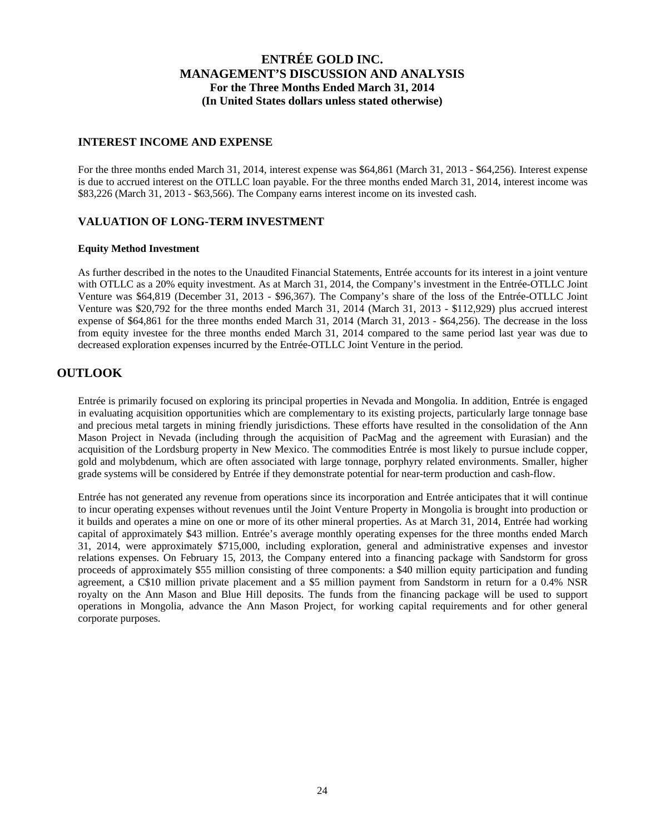### **INTEREST INCOME AND EXPENSE**

For the three months ended March 31, 2014, interest expense was \$64,861 (March 31, 2013 - \$64,256). Interest expense is due to accrued interest on the OTLLC loan payable. For the three months ended March 31, 2014, interest income was \$83,226 (March 31, 2013 - \$63,566). The Company earns interest income on its invested cash.

## **VALUATION OF LONG-TERM INVESTMENT**

### **Equity Method Investment**

As further described in the notes to the Unaudited Financial Statements, Entrée accounts for its interest in a joint venture with OTLLC as a 20% equity investment. As at March 31, 2014, the Company's investment in the Entrée-OTLLC Joint Venture was \$64,819 (December 31, 2013 - \$96,367). The Company's share of the loss of the Entrée-OTLLC Joint Venture was \$20,792 for the three months ended March 31, 2014 (March 31, 2013 - \$112,929) plus accrued interest expense of \$64,861 for the three months ended March 31, 2014 (March 31, 2013 - \$64,256). The decrease in the loss from equity investee for the three months ended March 31, 2014 compared to the same period last year was due to decreased exploration expenses incurred by the Entrée-OTLLC Joint Venture in the period.

# **OUTLOOK**

Entrée is primarily focused on exploring its principal properties in Nevada and Mongolia. In addition, Entrée is engaged in evaluating acquisition opportunities which are complementary to its existing projects, particularly large tonnage base and precious metal targets in mining friendly jurisdictions. These efforts have resulted in the consolidation of the Ann Mason Project in Nevada (including through the acquisition of PacMag and the agreement with Eurasian) and the acquisition of the Lordsburg property in New Mexico. The commodities Entrée is most likely to pursue include copper, gold and molybdenum, which are often associated with large tonnage, porphyry related environments. Smaller, higher grade systems will be considered by Entrée if they demonstrate potential for near-term production and cash-flow.

Entrée has not generated any revenue from operations since its incorporation and Entrée anticipates that it will continue to incur operating expenses without revenues until the Joint Venture Property in Mongolia is brought into production or it builds and operates a mine on one or more of its other mineral properties. As at March 31, 2014, Entrée had working capital of approximately \$43 million. Entrée's average monthly operating expenses for the three months ended March 31, 2014, were approximately \$715,000, including exploration, general and administrative expenses and investor relations expenses. On February 15, 2013, the Company entered into a financing package with Sandstorm for gross proceeds of approximately \$55 million consisting of three components: a \$40 million equity participation and funding agreement, a C\$10 million private placement and a \$5 million payment from Sandstorm in return for a 0.4% NSR royalty on the Ann Mason and Blue Hill deposits. The funds from the financing package will be used to support operations in Mongolia, advance the Ann Mason Project, for working capital requirements and for other general corporate purposes.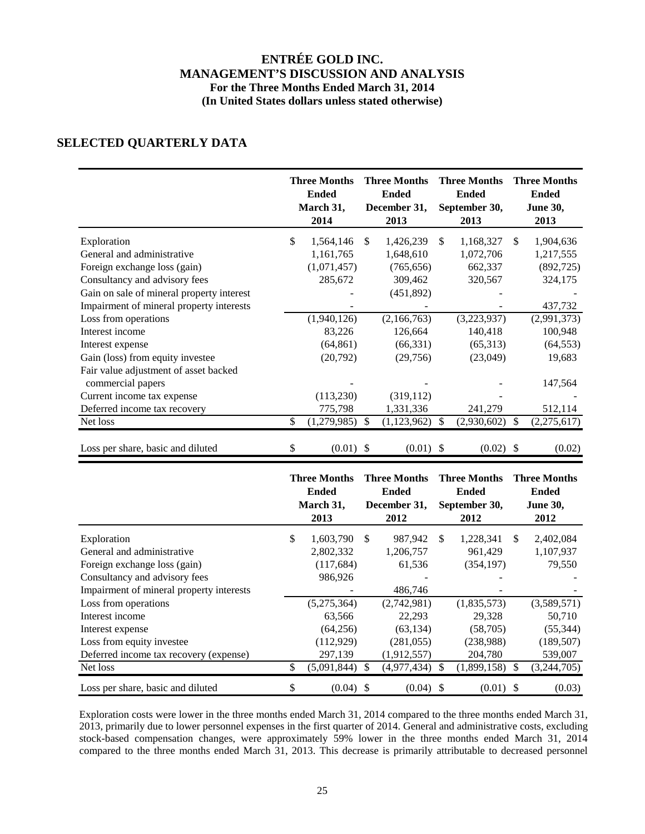# **SELECTED QUARTERLY DATA**

|                                           |    | <b>Three Months</b><br><b>Ended</b><br>March 31,<br>2014 |     | <b>Three Months</b><br><b>Ended</b><br>December 31,<br>2013 | <b>Three Months</b><br><b>Ended</b><br>September 30,<br>2013 |     | <b>Three Months</b><br><b>Ended</b><br><b>June 30,</b><br>2013 |
|-------------------------------------------|----|----------------------------------------------------------|-----|-------------------------------------------------------------|--------------------------------------------------------------|-----|----------------------------------------------------------------|
| Exploration                               | \$ | 1,564,146                                                | \$. | 1,426,239                                                   | \$<br>1,168,327                                              | \$. | 1,904,636                                                      |
| General and administrative                |    | 1,161,765                                                |     | 1,648,610                                                   | 1,072,706                                                    |     | 1,217,555                                                      |
| Foreign exchange loss (gain)              |    | (1,071,457)                                              |     | (765, 656)                                                  | 662,337                                                      |     | (892, 725)                                                     |
| Consultancy and advisory fees             |    | 285,672                                                  |     | 309,462                                                     | 320,567                                                      |     | 324,175                                                        |
| Gain on sale of mineral property interest |    |                                                          |     | (451,892)                                                   |                                                              |     |                                                                |
| Impairment of mineral property interests  |    |                                                          |     |                                                             |                                                              |     | 437,732                                                        |
| Loss from operations                      |    | (1,940,126)                                              |     | (2,166,763)                                                 | (3,223,937)                                                  |     | (2,991,373)                                                    |
| Interest income                           |    | 83,226                                                   |     | 126,664                                                     | 140,418                                                      |     | 100,948                                                        |
| Interest expense                          |    | (64, 861)                                                |     | (66,331)                                                    | (65,313)                                                     |     | (64, 553)                                                      |
| Gain (loss) from equity investee          |    | (20, 792)                                                |     | (29,756)                                                    | (23,049)                                                     |     | 19,683                                                         |
| Fair value adjustment of asset backed     |    |                                                          |     |                                                             |                                                              |     |                                                                |
| commercial papers                         |    |                                                          |     |                                                             |                                                              |     | 147,564                                                        |
| Current income tax expense                |    | (113,230)                                                |     | (319, 112)                                                  |                                                              |     |                                                                |
| Deferred income tax recovery              |    | 775,798                                                  |     | 1,331,336                                                   | 241,279                                                      |     | 512,114                                                        |
| Net loss                                  | \$ | (1,279,985)                                              | \$  | (1, 123, 962)                                               | \$<br>(2,930,602)                                            | \$  | (2,275,617)                                                    |
| Loss per share, basic and diluted         | S  | $(0.01)$ \$                                              |     | $(0.01)$ \$                                                 | $(0.02)$ \$                                                  |     | (0.02)                                                         |

|                                          | <b>Three Months</b><br><b>Ended</b><br>March 31,<br>2013 |     | <b>Three Months</b><br><b>Ended</b><br>December 31,<br>2012 | <b>Three Months</b><br><b>Ended</b><br>September 30,<br>2012 |    | <b>Three Months</b><br><b>Ended</b><br><b>June 30,</b><br>2012 |
|------------------------------------------|----------------------------------------------------------|-----|-------------------------------------------------------------|--------------------------------------------------------------|----|----------------------------------------------------------------|
| Exploration                              | \$<br>1,603,790                                          | \$. | 987,942                                                     | \$<br>1,228,341                                              | S. | 2,402,084                                                      |
| General and administrative               | 2,802,332                                                |     | 1,206,757                                                   | 961,429                                                      |    | 1,107,937                                                      |
| Foreign exchange loss (gain)             | (117,684)                                                |     | 61,536                                                      | (354, 197)                                                   |    | 79,550                                                         |
| Consultancy and advisory fees            | 986,926                                                  |     |                                                             |                                                              |    |                                                                |
| Impairment of mineral property interests |                                                          |     | 486,746                                                     |                                                              |    |                                                                |
| Loss from operations                     | (5,275,364)                                              |     | (2,742,981)                                                 | (1,835,573)                                                  |    | (3,589,571)                                                    |
| Interest income                          | 63,566                                                   |     | 22,293                                                      | 29,328                                                       |    | 50,710                                                         |
| Interest expense                         | (64,256)                                                 |     | (63, 134)                                                   | (58,705)                                                     |    | (55, 344)                                                      |
| Loss from equity investee                | (112,929)                                                |     | (281, 055)                                                  | (238,988)                                                    |    | (189, 507)                                                     |
| Deferred income tax recovery (expense)   | 297,139                                                  |     | (1,912,557)                                                 | 204,780                                                      |    | 539,007                                                        |
| Net loss                                 | \$<br>(5,091,844)                                        |     | (4,977,434)                                                 | (1,899,158)                                                  |    | (3,244,705)                                                    |
| Loss per share, basic and diluted        | \$<br>$(0.04)$ \$                                        |     | $(0.04)$ \$                                                 | $(0.01)$ \$                                                  |    | (0.03)                                                         |

Exploration costs were lower in the three months ended March 31, 2014 compared to the three months ended March 31, 2013, primarily due to lower personnel expenses in the first quarter of 2014. General and administrative costs, excluding stock-based compensation changes, were approximately 59% lower in the three months ended March 31, 2014 compared to the three months ended March 31, 2013. This decrease is primarily attributable to decreased personnel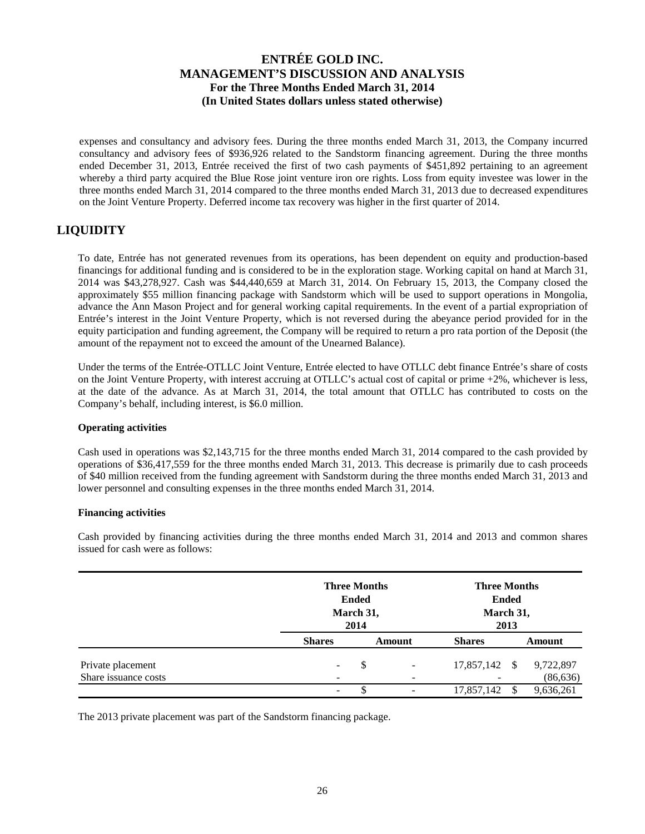expenses and consultancy and advisory fees. During the three months ended March 31, 2013, the Company incurred consultancy and advisory fees of \$936,926 related to the Sandstorm financing agreement. During the three months ended December 31, 2013, Entrée received the first of two cash payments of \$451,892 pertaining to an agreement whereby a third party acquired the Blue Rose joint venture iron ore rights. Loss from equity investee was lower in the three months ended March 31, 2014 compared to the three months ended March 31, 2013 due to decreased expenditures on the Joint Venture Property. Deferred income tax recovery was higher in the first quarter of 2014.

# **LIQUIDITY**

To date, Entrée has not generated revenues from its operations, has been dependent on equity and production-based financings for additional funding and is considered to be in the exploration stage. Working capital on hand at March 31, 2014 was \$43,278,927. Cash was \$44,440,659 at March 31, 2014. On February 15, 2013, the Company closed the approximately \$55 million financing package with Sandstorm which will be used to support operations in Mongolia, advance the Ann Mason Project and for general working capital requirements. In the event of a partial expropriation of Entrée's interest in the Joint Venture Property, which is not reversed during the abeyance period provided for in the equity participation and funding agreement, the Company will be required to return a pro rata portion of the Deposit (the amount of the repayment not to exceed the amount of the Unearned Balance).

Under the terms of the Entrée-OTLLC Joint Venture, Entrée elected to have OTLLC debt finance Entrée's share of costs on the Joint Venture Property, with interest accruing at OTLLC's actual cost of capital or prime +2%, whichever is less, at the date of the advance. As at March 31, 2014, the total amount that OTLLC has contributed to costs on the Company's behalf, including interest, is \$6.0 million.

## **Operating activities**

Cash used in operations was \$2,143,715 for the three months ended March 31, 2014 compared to the cash provided by operations of \$36,417,559 for the three months ended March 31, 2013. This decrease is primarily due to cash proceeds of \$40 million received from the funding agreement with Sandstorm during the three months ended March 31, 2013 and lower personnel and consulting expenses in the three months ended March 31, 2014.

## **Financing activities**

|                                           |                                                      | <b>Three Months</b><br><b>Ended</b><br>March 31,<br>2014 |                                                   |               | <b>Three Months</b><br><b>Ended</b><br>March 31,<br>2013 |                        |  |
|-------------------------------------------|------------------------------------------------------|----------------------------------------------------------|---------------------------------------------------|---------------|----------------------------------------------------------|------------------------|--|
|                                           | <b>Shares</b>                                        |                                                          | <b>Amount</b>                                     | <b>Shares</b> |                                                          | Amount                 |  |
| Private placement<br>Share issuance costs | $\overline{\phantom{a}}$<br>$\overline{\phantom{a}}$ | \$                                                       | $\qquad \qquad -$<br>$\qquad \qquad \blacksquare$ | 17,857,142    | -S                                                       | 9,722,897<br>(86, 636) |  |
|                                           | $\overline{\phantom{a}}$                             | S                                                        | $\qquad \qquad -$                                 | 17,857,142    | <b>S</b>                                                 | 9,636,261              |  |

Cash provided by financing activities during the three months ended March 31, 2014 and 2013 and common shares issued for cash were as follows:

The 2013 private placement was part of the Sandstorm financing package.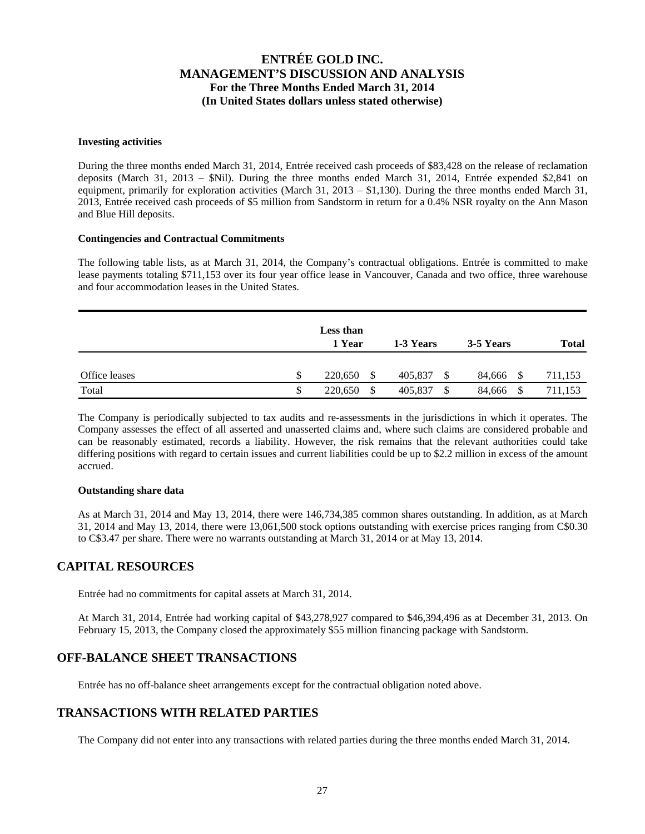#### **Investing activities**

During the three months ended March 31, 2014, Entrée received cash proceeds of \$83,428 on the release of reclamation deposits (March 31, 2013 – \$Nil). During the three months ended March 31, 2014, Entrée expended \$2,841 on equipment, primarily for exploration activities (March 31, 2013 – \$1,130). During the three months ended March 31, 2013, Entrée received cash proceeds of \$5 million from Sandstorm in return for a 0.4% NSR royalty on the Ann Mason and Blue Hill deposits.

### **Contingencies and Contractual Commitments**

The following table lists, as at March 31, 2014, the Company's contractual obligations. Entrée is committed to make lease payments totaling \$711,153 over its four year office lease in Vancouver, Canada and two office, three warehouse and four accommodation leases in the United States.

|               | <b>Less than</b><br>1 Year | 1-3 Years       | 3-5 Years | <b>Total</b> |
|---------------|----------------------------|-----------------|-----------|--------------|
| Office leases | \$<br>220,650<br>S         | 405,837<br>- \$ | 84,666    | 711,153      |
| Total         | \$<br>220,650<br>\$        | 405,837<br>\$   | 84,666    | 711,153      |

The Company is periodically subjected to tax audits and re-assessments in the jurisdictions in which it operates. The Company assesses the effect of all asserted and unasserted claims and, where such claims are considered probable and can be reasonably estimated, records a liability. However, the risk remains that the relevant authorities could take differing positions with regard to certain issues and current liabilities could be up to \$2.2 million in excess of the amount accrued.

### **Outstanding share data**

As at March 31, 2014 and May 13, 2014, there were 146,734,385 common shares outstanding. In addition, as at March 31, 2014 and May 13, 2014, there were 13,061,500 stock options outstanding with exercise prices ranging from C\$0.30 to C\$3.47 per share. There were no warrants outstanding at March 31, 2014 or at May 13, 2014.

## **CAPITAL RESOURCES**

Entrée had no commitments for capital assets at March 31, 2014.

At March 31, 2014, Entrée had working capital of \$43,278,927 compared to \$46,394,496 as at December 31, 2013. On February 15, 2013, the Company closed the approximately \$55 million financing package with Sandstorm.

## **OFF-BALANCE SHEET TRANSACTIONS**

Entrée has no off-balance sheet arrangements except for the contractual obligation noted above.

## **TRANSACTIONS WITH RELATED PARTIES**

The Company did not enter into any transactions with related parties during the three months ended March 31, 2014.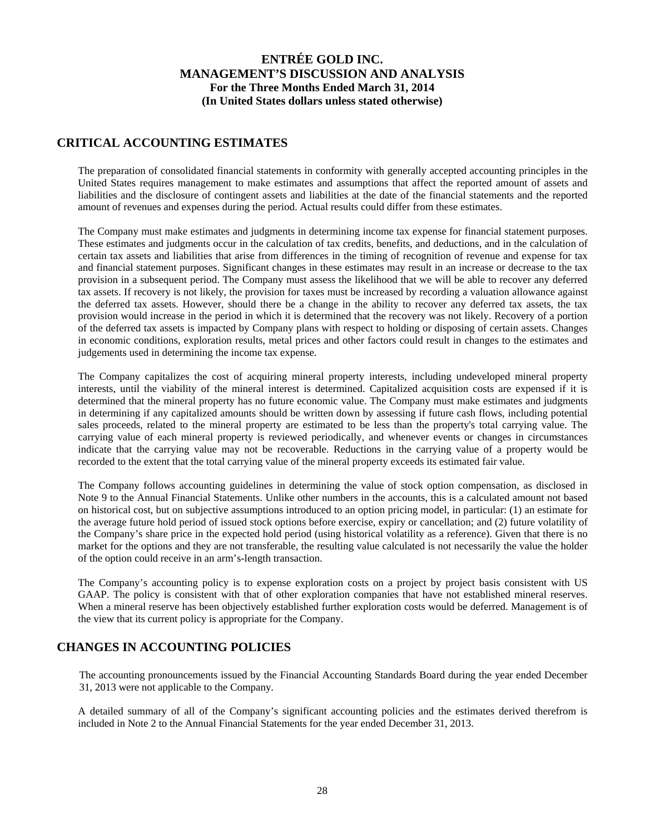## **CRITICAL ACCOUNTING ESTIMATES**

The preparation of consolidated financial statements in conformity with generally accepted accounting principles in the United States requires management to make estimates and assumptions that affect the reported amount of assets and liabilities and the disclosure of contingent assets and liabilities at the date of the financial statements and the reported amount of revenues and expenses during the period. Actual results could differ from these estimates.

The Company must make estimates and judgments in determining income tax expense for financial statement purposes. These estimates and judgments occur in the calculation of tax credits, benefits, and deductions, and in the calculation of certain tax assets and liabilities that arise from differences in the timing of recognition of revenue and expense for tax and financial statement purposes. Significant changes in these estimates may result in an increase or decrease to the tax provision in a subsequent period. The Company must assess the likelihood that we will be able to recover any deferred tax assets. If recovery is not likely, the provision for taxes must be increased by recording a valuation allowance against the deferred tax assets. However, should there be a change in the ability to recover any deferred tax assets, the tax provision would increase in the period in which it is determined that the recovery was not likely. Recovery of a portion of the deferred tax assets is impacted by Company plans with respect to holding or disposing of certain assets. Changes in economic conditions, exploration results, metal prices and other factors could result in changes to the estimates and judgements used in determining the income tax expense.

The Company capitalizes the cost of acquiring mineral property interests, including undeveloped mineral property interests, until the viability of the mineral interest is determined. Capitalized acquisition costs are expensed if it is determined that the mineral property has no future economic value. The Company must make estimates and judgments in determining if any capitalized amounts should be written down by assessing if future cash flows, including potential sales proceeds, related to the mineral property are estimated to be less than the property's total carrying value. The carrying value of each mineral property is reviewed periodically, and whenever events or changes in circumstances indicate that the carrying value may not be recoverable. Reductions in the carrying value of a property would be recorded to the extent that the total carrying value of the mineral property exceeds its estimated fair value.

The Company follows accounting guidelines in determining the value of stock option compensation, as disclosed in Note 9 to the Annual Financial Statements. Unlike other numbers in the accounts, this is a calculated amount not based on historical cost, but on subjective assumptions introduced to an option pricing model, in particular: (1) an estimate for the average future hold period of issued stock options before exercise, expiry or cancellation; and (2) future volatility of the Company's share price in the expected hold period (using historical volatility as a reference). Given that there is no market for the options and they are not transferable, the resulting value calculated is not necessarily the value the holder of the option could receive in an arm's-length transaction.

The Company's accounting policy is to expense exploration costs on a project by project basis consistent with US GAAP. The policy is consistent with that of other exploration companies that have not established mineral reserves. When a mineral reserve has been objectively established further exploration costs would be deferred. Management is of the view that its current policy is appropriate for the Company.

## **CHANGES IN ACCOUNTING POLICIES**

The accounting pronouncements issued by the Financial Accounting Standards Board during the year ended December 31, 2013 were not applicable to the Company.

A detailed summary of all of the Company's significant accounting policies and the estimates derived therefrom is included in Note 2 to the Annual Financial Statements for the year ended December 31, 2013.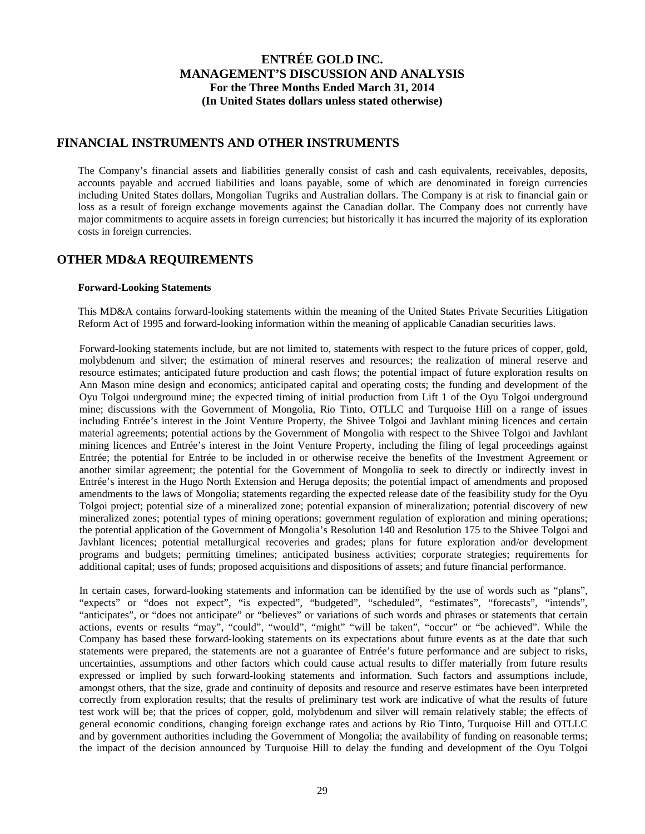## **FINANCIAL INSTRUMENTS AND OTHER INSTRUMENTS**

The Company's financial assets and liabilities generally consist of cash and cash equivalents, receivables, deposits, accounts payable and accrued liabilities and loans payable, some of which are denominated in foreign currencies including United States dollars, Mongolian Tugriks and Australian dollars. The Company is at risk to financial gain or loss as a result of foreign exchange movements against the Canadian dollar. The Company does not currently have major commitments to acquire assets in foreign currencies; but historically it has incurred the majority of its exploration costs in foreign currencies.

## **OTHER MD&A REQUIREMENTS**

### **Forward-Looking Statements**

This MD&A contains forward-looking statements within the meaning of the United States Private Securities Litigation Reform Act of 1995 and forward-looking information within the meaning of applicable Canadian securities laws.

Forward-looking statements include, but are not limited to, statements with respect to the future prices of copper, gold, molybdenum and silver; the estimation of mineral reserves and resources; the realization of mineral reserve and resource estimates; anticipated future production and cash flows; the potential impact of future exploration results on Ann Mason mine design and economics; anticipated capital and operating costs; the funding and development of the Oyu Tolgoi underground mine; the expected timing of initial production from Lift 1 of the Oyu Tolgoi underground mine; discussions with the Government of Mongolia, Rio Tinto, OTLLC and Turquoise Hill on a range of issues including Entrée's interest in the Joint Venture Property, the Shivee Tolgoi and Javhlant mining licences and certain material agreements; potential actions by the Government of Mongolia with respect to the Shivee Tolgoi and Javhlant mining licences and Entrée's interest in the Joint Venture Property, including the filing of legal proceedings against Entrée; the potential for Entrée to be included in or otherwise receive the benefits of the Investment Agreement or another similar agreement; the potential for the Government of Mongolia to seek to directly or indirectly invest in Entrée's interest in the Hugo North Extension and Heruga deposits; the potential impact of amendments and proposed amendments to the laws of Mongolia; statements regarding the expected release date of the feasibility study for the Oyu Tolgoi project; potential size of a mineralized zone; potential expansion of mineralization; potential discovery of new mineralized zones; potential types of mining operations; government regulation of exploration and mining operations; the potential application of the Government of Mongolia's Resolution 140 and Resolution 175 to the Shivee Tolgoi and Javhlant licences; potential metallurgical recoveries and grades; plans for future exploration and/or development programs and budgets; permitting timelines; anticipated business activities; corporate strategies; requirements for additional capital; uses of funds; proposed acquisitions and dispositions of assets; and future financial performance.

In certain cases, forward-looking statements and information can be identified by the use of words such as "plans", "expects" or "does not expect", "is expected", "budgeted", "scheduled", "estimates", "forecasts", "intends", "anticipates", or "does not anticipate" or "believes" or variations of such words and phrases or statements that certain actions, events or results "may", "could", "would", "might" "will be taken", "occur" or "be achieved". While the Company has based these forward-looking statements on its expectations about future events as at the date that such statements were prepared, the statements are not a guarantee of Entrée's future performance and are subject to risks, uncertainties, assumptions and other factors which could cause actual results to differ materially from future results expressed or implied by such forward-looking statements and information. Such factors and assumptions include, amongst others, that the size, grade and continuity of deposits and resource and reserve estimates have been interpreted correctly from exploration results; that the results of preliminary test work are indicative of what the results of future test work will be; that the prices of copper, gold, molybdenum and silver will remain relatively stable; the effects of general economic conditions, changing foreign exchange rates and actions by Rio Tinto, Turquoise Hill and OTLLC and by government authorities including the Government of Mongolia; the availability of funding on reasonable terms; the impact of the decision announced by Turquoise Hill to delay the funding and development of the Oyu Tolgoi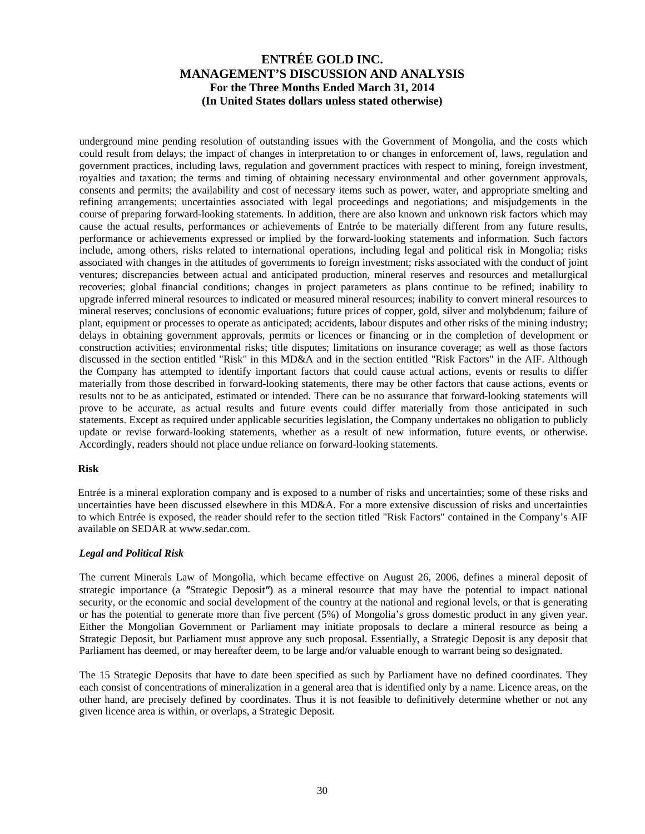underground mine pending resolution of outstanding issues with the Government of Mongolia, and the costs which could result from delays; the impact of changes in interpretation to or changes in enforcement of, laws, regulation and government practices, including laws, regulation and government practices with respect to mining, foreign investment, royalties and taxation; the terms and timing of obtaining necessary environmental and other government approvals, consents and permits; the availability and cost of necessary items such as power, water, and appropriate smelting and refining arrangements; uncertainties associated with legal proceedings and negotiations; and misjudgements in the course of preparing forward-looking statements. In addition, there are also known and unknown risk factors which may cause the actual results, performances or achievements of Entrée to be materially different from any future results, performance or achievements expressed or implied by the forward-looking statements and information. Such factors include, among others, risks related to international operations, including legal and political risk in Mongolia; risks associated with changes in the attitudes of governments to foreign investment; risks associated with the conduct of joint ventures; discrepancies between actual and anticipated production, mineral reserves and resources and metallurgical recoveries; global financial conditions; changes in project parameters as plans continue to be refined; inability to upgrade inferred mineral resources to indicated or measured mineral resources; inability to convert mineral resources to mineral reserves; conclusions of economic evaluations; future prices of copper, gold, silver and molybdenum; failure of plant, equipment or processes to operate as anticipated; accidents, labour disputes and other risks of the mining industry; delays in obtaining government approvals, permits or licences or financing or in the completion of development or construction activities; environmental risks; title disputes; limitations on insurance coverage; as well as those factors discussed in the section entitled "Risk" in this MD&A and in the section entitled "Risk Factors" in the AIF. Although the Company has attempted to identify important factors that could cause actual actions, events or results to differ materially from those described in forward-looking statements, there may be other factors that cause actions, events or results not to be as anticipated, estimated or intended. There can be no assurance that forward-looking statements will prove to be accurate, as actual results and future events could differ materially from those anticipated in such statements. Except as required under applicable securities legislation, the Company undertakes no obligation to publicly update or revise forward-looking statements, whether as a result of new information, future events, or otherwise. Accordingly, readers should not place undue reliance on forward-looking statements.

### **Risk**

Entrée is a mineral exploration company and is exposed to a number of risks and uncertainties; some of these risks and uncertainties have been discussed elsewhere in this MD&A. For a more extensive discussion of risks and uncertainties to which Entrée is exposed, the reader should refer to the section titled "Risk Factors" contained in the Company's AIF available on SEDAR at www.sedar.com.

### *Legal and Political Risk*

The current Minerals Law of Mongolia, which became effective on August 26, 2006, defines a mineral deposit of strategic importance (a *"*Strategic Deposit*"*) as a mineral resource that may have the potential to impact national security, or the economic and social development of the country at the national and regional levels, or that is generating or has the potential to generate more than five percent (5%) of Mongolia's gross domestic product in any given year. Either the Mongolian Government or Parliament may initiate proposals to declare a mineral resource as being a Strategic Deposit, but Parliament must approve any such proposal. Essentially, a Strategic Deposit is any deposit that Parliament has deemed, or may hereafter deem, to be large and/or valuable enough to warrant being so designated.

The 15 Strategic Deposits that have to date been specified as such by Parliament have no defined coordinates. They each consist of concentrations of mineralization in a general area that is identified only by a name. Licence areas, on the other hand, are precisely defined by coordinates. Thus it is not feasible to definitively determine whether or not any given licence area is within, or overlaps, a Strategic Deposit.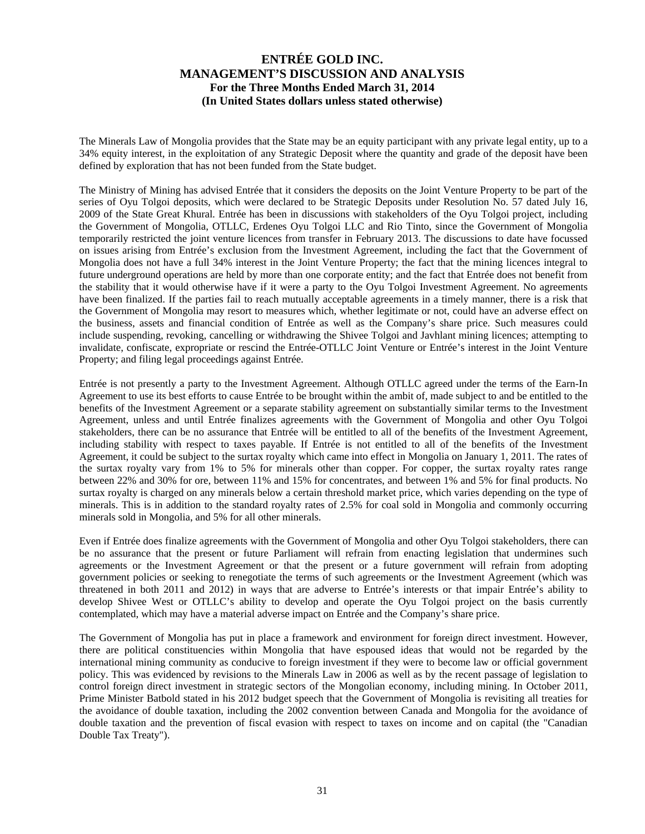The Minerals Law of Mongolia provides that the State may be an equity participant with any private legal entity, up to a 34% equity interest, in the exploitation of any Strategic Deposit where the quantity and grade of the deposit have been defined by exploration that has not been funded from the State budget.

The Ministry of Mining has advised Entrée that it considers the deposits on the Joint Venture Property to be part of the series of Oyu Tolgoi deposits, which were declared to be Strategic Deposits under Resolution No. 57 dated July 16, 2009 of the State Great Khural. Entrée has been in discussions with stakeholders of the Oyu Tolgoi project, including the Government of Mongolia, OTLLC, Erdenes Oyu Tolgoi LLC and Rio Tinto, since the Government of Mongolia temporarily restricted the joint venture licences from transfer in February 2013. The discussions to date have focussed on issues arising from Entrée's exclusion from the Investment Agreement, including the fact that the Government of Mongolia does not have a full 34% interest in the Joint Venture Property; the fact that the mining licences integral to future underground operations are held by more than one corporate entity; and the fact that Entrée does not benefit from the stability that it would otherwise have if it were a party to the Oyu Tolgoi Investment Agreement. No agreements have been finalized. If the parties fail to reach mutually acceptable agreements in a timely manner, there is a risk that the Government of Mongolia may resort to measures which, whether legitimate or not, could have an adverse effect on the business, assets and financial condition of Entrée as well as the Company's share price. Such measures could include suspending, revoking, cancelling or withdrawing the Shivee Tolgoi and Javhlant mining licences; attempting to invalidate, confiscate, expropriate or rescind the Entrée-OTLLC Joint Venture or Entrée's interest in the Joint Venture Property; and filing legal proceedings against Entrée.

Entrée is not presently a party to the Investment Agreement. Although OTLLC agreed under the terms of the Earn-In Agreement to use its best efforts to cause Entrée to be brought within the ambit of, made subject to and be entitled to the benefits of the Investment Agreement or a separate stability agreement on substantially similar terms to the Investment Agreement, unless and until Entrée finalizes agreements with the Government of Mongolia and other Oyu Tolgoi stakeholders, there can be no assurance that Entrée will be entitled to all of the benefits of the Investment Agreement, including stability with respect to taxes payable. If Entrée is not entitled to all of the benefits of the Investment Agreement, it could be subject to the surtax royalty which came into effect in Mongolia on January 1, 2011. The rates of the surtax royalty vary from 1% to 5% for minerals other than copper. For copper, the surtax royalty rates range between 22% and 30% for ore, between 11% and 15% for concentrates, and between 1% and 5% for final products. No surtax royalty is charged on any minerals below a certain threshold market price, which varies depending on the type of minerals. This is in addition to the standard royalty rates of 2.5% for coal sold in Mongolia and commonly occurring minerals sold in Mongolia, and 5% for all other minerals.

Even if Entrée does finalize agreements with the Government of Mongolia and other Oyu Tolgoi stakeholders, there can be no assurance that the present or future Parliament will refrain from enacting legislation that undermines such agreements or the Investment Agreement or that the present or a future government will refrain from adopting government policies or seeking to renegotiate the terms of such agreements or the Investment Agreement (which was threatened in both 2011 and 2012) in ways that are adverse to Entrée's interests or that impair Entrée's ability to develop Shivee West or OTLLC's ability to develop and operate the Oyu Tolgoi project on the basis currently contemplated, which may have a material adverse impact on Entrée and the Company's share price.

The Government of Mongolia has put in place a framework and environment for foreign direct investment. However, there are political constituencies within Mongolia that have espoused ideas that would not be regarded by the international mining community as conducive to foreign investment if they were to become law or official government policy. This was evidenced by revisions to the Minerals Law in 2006 as well as by the recent passage of legislation to control foreign direct investment in strategic sectors of the Mongolian economy, including mining. In October 2011, Prime Minister Batbold stated in his 2012 budget speech that the Government of Mongolia is revisiting all treaties for the avoidance of double taxation, including the 2002 convention between Canada and Mongolia for the avoidance of double taxation and the prevention of fiscal evasion with respect to taxes on income and on capital (the "Canadian Double Tax Treaty").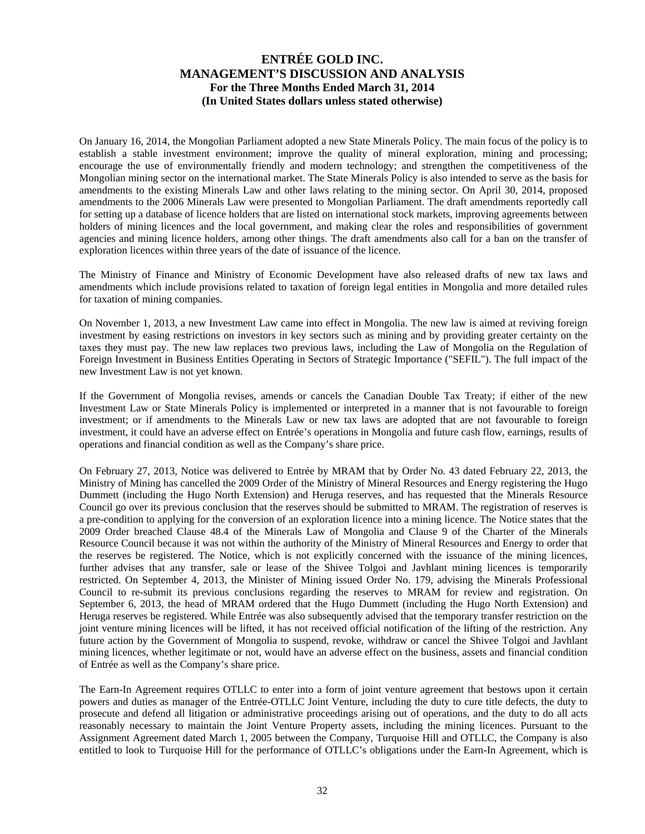On January 16, 2014, the Mongolian Parliament adopted a new State Minerals Policy. The main focus of the policy is to establish a stable investment environment; improve the quality of mineral exploration, mining and processing; encourage the use of environmentally friendly and modern technology; and strengthen the competitiveness of the Mongolian mining sector on the international market. The State Minerals Policy is also intended to serve as the basis for amendments to the existing Minerals Law and other laws relating to the mining sector. On April 30, 2014, proposed amendments to the 2006 Minerals Law were presented to Mongolian Parliament. The draft amendments reportedly call for setting up a database of licence holders that are listed on international stock markets, improving agreements between holders of mining licences and the local government, and making clear the roles and responsibilities of government agencies and mining licence holders, among other things. The draft amendments also call for a ban on the transfer of exploration licences within three years of the date of issuance of the licence.

The Ministry of Finance and Ministry of Economic Development have also released drafts of new tax laws and amendments which include provisions related to taxation of foreign legal entities in Mongolia and more detailed rules for taxation of mining companies.

On November 1, 2013, a new Investment Law came into effect in Mongolia. The new law is aimed at reviving foreign investment by easing restrictions on investors in key sectors such as mining and by providing greater certainty on the taxes they must pay. The new law replaces two previous laws, including the Law of Mongolia on the Regulation of Foreign Investment in Business Entities Operating in Sectors of Strategic Importance ("SEFIL"). The full impact of the new Investment Law is not yet known.

If the Government of Mongolia revises, amends or cancels the Canadian Double Tax Treaty; if either of the new Investment Law or State Minerals Policy is implemented or interpreted in a manner that is not favourable to foreign investment; or if amendments to the Minerals Law or new tax laws are adopted that are not favourable to foreign investment, it could have an adverse effect on Entrée's operations in Mongolia and future cash flow, earnings, results of operations and financial condition as well as the Company's share price.

On February 27, 2013, Notice was delivered to Entrée by MRAM that by Order No. 43 dated February 22, 2013, the Ministry of Mining has cancelled the 2009 Order of the Ministry of Mineral Resources and Energy registering the Hugo Dummett (including the Hugo North Extension) and Heruga reserves, and has requested that the Minerals Resource Council go over its previous conclusion that the reserves should be submitted to MRAM. The registration of reserves is a pre-condition to applying for the conversion of an exploration licence into a mining licence. The Notice states that the 2009 Order breached Clause 48.4 of the Minerals Law of Mongolia and Clause 9 of the Charter of the Minerals Resource Council because it was not within the authority of the Ministry of Mineral Resources and Energy to order that the reserves be registered. The Notice, which is not explicitly concerned with the issuance of the mining licences, further advises that any transfer, sale or lease of the Shivee Tolgoi and Javhlant mining licences is temporarily restricted. On September 4, 2013, the Minister of Mining issued Order No. 179, advising the Minerals Professional Council to re-submit its previous conclusions regarding the reserves to MRAM for review and registration. On September 6, 2013, the head of MRAM ordered that the Hugo Dummett (including the Hugo North Extension) and Heruga reserves be registered. While Entrée was also subsequently advised that the temporary transfer restriction on the joint venture mining licences will be lifted, it has not received official notification of the lifting of the restriction. Any future action by the Government of Mongolia to suspend, revoke, withdraw or cancel the Shivee Tolgoi and Javhlant mining licences, whether legitimate or not, would have an adverse effect on the business, assets and financial condition of Entrée as well as the Company's share price.

The Earn-In Agreement requires OTLLC to enter into a form of joint venture agreement that bestows upon it certain powers and duties as manager of the Entrée-OTLLC Joint Venture, including the duty to cure title defects, the duty to prosecute and defend all litigation or administrative proceedings arising out of operations, and the duty to do all acts reasonably necessary to maintain the Joint Venture Property assets, including the mining licences. Pursuant to the Assignment Agreement dated March 1, 2005 between the Company, Turquoise Hill and OTLLC, the Company is also entitled to look to Turquoise Hill for the performance of OTLLC's obligations under the Earn-In Agreement, which is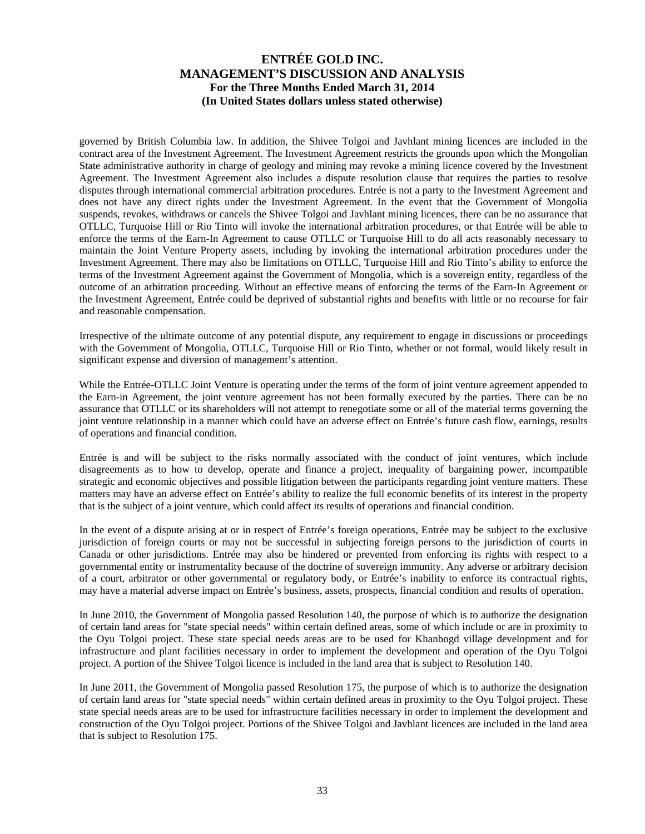governed by British Columbia law. In addition, the Shivee Tolgoi and Javhlant mining licences are included in the contract area of the Investment Agreement. The Investment Agreement restricts the grounds upon which the Mongolian State administrative authority in charge of geology and mining may revoke a mining licence covered by the Investment Agreement. The Investment Agreement also includes a dispute resolution clause that requires the parties to resolve disputes through international commercial arbitration procedures. Entrée is not a party to the Investment Agreement and does not have any direct rights under the Investment Agreement. In the event that the Government of Mongolia suspends, revokes, withdraws or cancels the Shivee Tolgoi and Javhlant mining licences, there can be no assurance that OTLLC, Turquoise Hill or Rio Tinto will invoke the international arbitration procedures, or that Entrée will be able to enforce the terms of the Earn-In Agreement to cause OTLLC or Turquoise Hill to do all acts reasonably necessary to maintain the Joint Venture Property assets, including by invoking the international arbitration procedures under the Investment Agreement. There may also be limitations on OTLLC, Turquoise Hill and Rio Tinto's ability to enforce the terms of the Investment Agreement against the Government of Mongolia, which is a sovereign entity, regardless of the outcome of an arbitration proceeding. Without an effective means of enforcing the terms of the Earn-In Agreement or the Investment Agreement, Entrée could be deprived of substantial rights and benefits with little or no recourse for fair and reasonable compensation.

Irrespective of the ultimate outcome of any potential dispute, any requirement to engage in discussions or proceedings with the Government of Mongolia, OTLLC, Turquoise Hill or Rio Tinto, whether or not formal, would likely result in significant expense and diversion of management's attention.

While the Entrée-OTLLC Joint Venture is operating under the terms of the form of joint venture agreement appended to the Earn-in Agreement, the joint venture agreement has not been formally executed by the parties. There can be no assurance that OTLLC or its shareholders will not attempt to renegotiate some or all of the material terms governing the joint venture relationship in a manner which could have an adverse effect on Entrée's future cash flow, earnings, results of operations and financial condition.

Entrée is and will be subject to the risks normally associated with the conduct of joint ventures, which include disagreements as to how to develop, operate and finance a project, inequality of bargaining power, incompatible strategic and economic objectives and possible litigation between the participants regarding joint venture matters. These matters may have an adverse effect on Entrée's ability to realize the full economic benefits of its interest in the property that is the subject of a joint venture, which could affect its results of operations and financial condition.

In the event of a dispute arising at or in respect of Entrée's foreign operations, Entrée may be subject to the exclusive jurisdiction of foreign courts or may not be successful in subjecting foreign persons to the jurisdiction of courts in Canada or other jurisdictions. Entrée may also be hindered or prevented from enforcing its rights with respect to a governmental entity or instrumentality because of the doctrine of sovereign immunity. Any adverse or arbitrary decision of a court, arbitrator or other governmental or regulatory body, or Entrée's inability to enforce its contractual rights, may have a material adverse impact on Entrée's business, assets, prospects, financial condition and results of operation.

In June 2010, the Government of Mongolia passed Resolution 140, the purpose of which is to authorize the designation of certain land areas for "state special needs" within certain defined areas, some of which include or are in proximity to the Oyu Tolgoi project. These state special needs areas are to be used for Khanbogd village development and for infrastructure and plant facilities necessary in order to implement the development and operation of the Oyu Tolgoi project. A portion of the Shivee Tolgoi licence is included in the land area that is subject to Resolution 140.

In June 2011, the Government of Mongolia passed Resolution 175, the purpose of which is to authorize the designation of certain land areas for "state special needs" within certain defined areas in proximity to the Oyu Tolgoi project. These state special needs areas are to be used for infrastructure facilities necessary in order to implement the development and construction of the Oyu Tolgoi project. Portions of the Shivee Tolgoi and Javhlant licences are included in the land area that is subject to Resolution 175.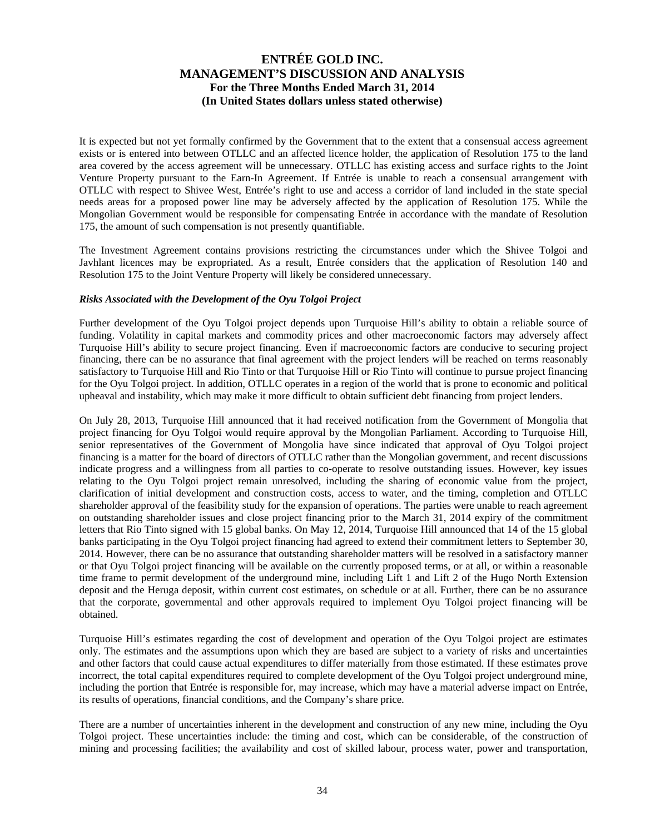It is expected but not yet formally confirmed by the Government that to the extent that a consensual access agreement exists or is entered into between OTLLC and an affected licence holder, the application of Resolution 175 to the land area covered by the access agreement will be unnecessary. OTLLC has existing access and surface rights to the Joint Venture Property pursuant to the Earn-In Agreement. If Entrée is unable to reach a consensual arrangement with OTLLC with respect to Shivee West, Entrée's right to use and access a corridor of land included in the state special needs areas for a proposed power line may be adversely affected by the application of Resolution 175. While the Mongolian Government would be responsible for compensating Entrée in accordance with the mandate of Resolution 175, the amount of such compensation is not presently quantifiable.

The Investment Agreement contains provisions restricting the circumstances under which the Shivee Tolgoi and Javhlant licences may be expropriated. As a result, Entrée considers that the application of Resolution 140 and Resolution 175 to the Joint Venture Property will likely be considered unnecessary.

### *Risks Associated with the Development of the Oyu Tolgoi Project*

Further development of the Oyu Tolgoi project depends upon Turquoise Hill's ability to obtain a reliable source of funding. Volatility in capital markets and commodity prices and other macroeconomic factors may adversely affect Turquoise Hill's ability to secure project financing. Even if macroeconomic factors are conducive to securing project financing, there can be no assurance that final agreement with the project lenders will be reached on terms reasonably satisfactory to Turquoise Hill and Rio Tinto or that Turquoise Hill or Rio Tinto will continue to pursue project financing for the Oyu Tolgoi project. In addition, OTLLC operates in a region of the world that is prone to economic and political upheaval and instability, which may make it more difficult to obtain sufficient debt financing from project lenders.

On July 28, 2013, Turquoise Hill announced that it had received notification from the Government of Mongolia that project financing for Oyu Tolgoi would require approval by the Mongolian Parliament. According to Turquoise Hill, senior representatives of the Government of Mongolia have since indicated that approval of Oyu Tolgoi project financing is a matter for the board of directors of OTLLC rather than the Mongolian government, and recent discussions indicate progress and a willingness from all parties to co-operate to resolve outstanding issues. However, key issues relating to the Oyu Tolgoi project remain unresolved, including the sharing of economic value from the project, clarification of initial development and construction costs, access to water, and the timing, completion and OTLLC shareholder approval of the feasibility study for the expansion of operations. The parties were unable to reach agreement on outstanding shareholder issues and close project financing prior to the March 31, 2014 expiry of the commitment letters that Rio Tinto signed with 15 global banks. On May 12, 2014, Turquoise Hill announced that 14 of the 15 global banks participating in the Oyu Tolgoi project financing had agreed to extend their commitment letters to September 30, 2014. However, there can be no assurance that outstanding shareholder matters will be resolved in a satisfactory manner or that Oyu Tolgoi project financing will be available on the currently proposed terms, or at all, or within a reasonable time frame to permit development of the underground mine, including Lift 1 and Lift 2 of the Hugo North Extension deposit and the Heruga deposit, within current cost estimates, on schedule or at all. Further, there can be no assurance that the corporate, governmental and other approvals required to implement Oyu Tolgoi project financing will be obtained.

Turquoise Hill's estimates regarding the cost of development and operation of the Oyu Tolgoi project are estimates only. The estimates and the assumptions upon which they are based are subject to a variety of risks and uncertainties and other factors that could cause actual expenditures to differ materially from those estimated. If these estimates prove incorrect, the total capital expenditures required to complete development of the Oyu Tolgoi project underground mine, including the portion that Entrée is responsible for, may increase, which may have a material adverse impact on Entrée, its results of operations, financial conditions, and the Company's share price.

There are a number of uncertainties inherent in the development and construction of any new mine, including the Oyu Tolgoi project. These uncertainties include: the timing and cost, which can be considerable, of the construction of mining and processing facilities; the availability and cost of skilled labour, process water, power and transportation,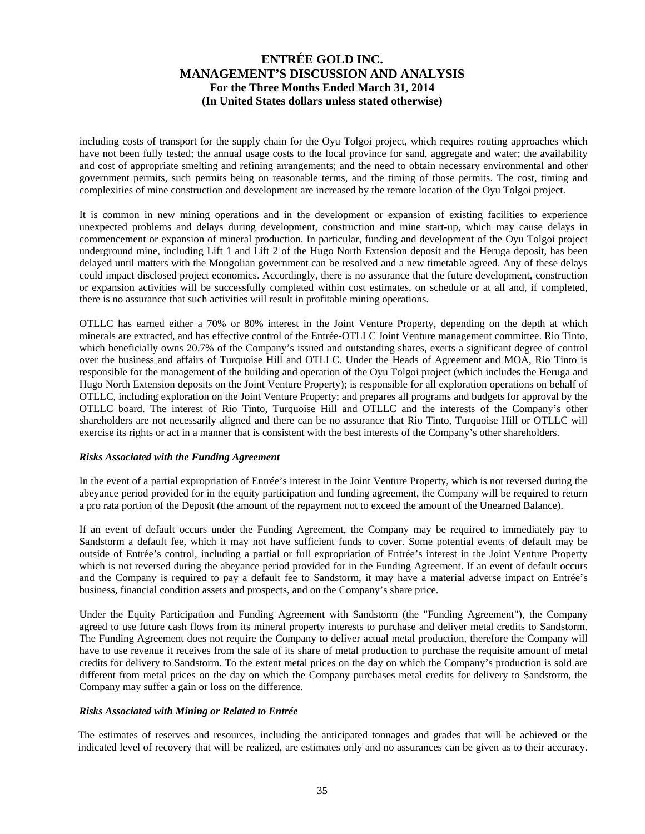including costs of transport for the supply chain for the Oyu Tolgoi project, which requires routing approaches which have not been fully tested; the annual usage costs to the local province for sand, aggregate and water; the availability and cost of appropriate smelting and refining arrangements; and the need to obtain necessary environmental and other government permits, such permits being on reasonable terms, and the timing of those permits. The cost, timing and complexities of mine construction and development are increased by the remote location of the Oyu Tolgoi project.

It is common in new mining operations and in the development or expansion of existing facilities to experience unexpected problems and delays during development, construction and mine start-up, which may cause delays in commencement or expansion of mineral production. In particular, funding and development of the Oyu Tolgoi project underground mine, including Lift 1 and Lift 2 of the Hugo North Extension deposit and the Heruga deposit, has been delayed until matters with the Mongolian government can be resolved and a new timetable agreed. Any of these delays could impact disclosed project economics. Accordingly, there is no assurance that the future development, construction or expansion activities will be successfully completed within cost estimates, on schedule or at all and, if completed, there is no assurance that such activities will result in profitable mining operations.

OTLLC has earned either a 70% or 80% interest in the Joint Venture Property, depending on the depth at which minerals are extracted, and has effective control of the Entrée-OTLLC Joint Venture management committee. Rio Tinto, which beneficially owns 20.7% of the Company's issued and outstanding shares, exerts a significant degree of control over the business and affairs of Turquoise Hill and OTLLC. Under the Heads of Agreement and MOA, Rio Tinto is responsible for the management of the building and operation of the Oyu Tolgoi project (which includes the Heruga and Hugo North Extension deposits on the Joint Venture Property); is responsible for all exploration operations on behalf of OTLLC, including exploration on the Joint Venture Property; and prepares all programs and budgets for approval by the OTLLC board. The interest of Rio Tinto, Turquoise Hill and OTLLC and the interests of the Company's other shareholders are not necessarily aligned and there can be no assurance that Rio Tinto, Turquoise Hill or OTLLC will exercise its rights or act in a manner that is consistent with the best interests of the Company's other shareholders.

#### *Risks Associated with the Funding Agreement*

In the event of a partial expropriation of Entrée's interest in the Joint Venture Property, which is not reversed during the abeyance period provided for in the equity participation and funding agreement, the Company will be required to return a pro rata portion of the Deposit (the amount of the repayment not to exceed the amount of the Unearned Balance).

If an event of default occurs under the Funding Agreement, the Company may be required to immediately pay to Sandstorm a default fee, which it may not have sufficient funds to cover. Some potential events of default may be outside of Entrée's control, including a partial or full expropriation of Entrée's interest in the Joint Venture Property which is not reversed during the abeyance period provided for in the Funding Agreement. If an event of default occurs and the Company is required to pay a default fee to Sandstorm, it may have a material adverse impact on Entrée's business, financial condition assets and prospects, and on the Company's share price.

Under the Equity Participation and Funding Agreement with Sandstorm (the "Funding Agreement"), the Company agreed to use future cash flows from its mineral property interests to purchase and deliver metal credits to Sandstorm. The Funding Agreement does not require the Company to deliver actual metal production, therefore the Company will have to use revenue it receives from the sale of its share of metal production to purchase the requisite amount of metal credits for delivery to Sandstorm. To the extent metal prices on the day on which the Company's production is sold are different from metal prices on the day on which the Company purchases metal credits for delivery to Sandstorm, the Company may suffer a gain or loss on the difference.

#### *Risks Associated with Mining or Related to Entrée*

The estimates of reserves and resources, including the anticipated tonnages and grades that will be achieved or the indicated level of recovery that will be realized, are estimates only and no assurances can be given as to their accuracy.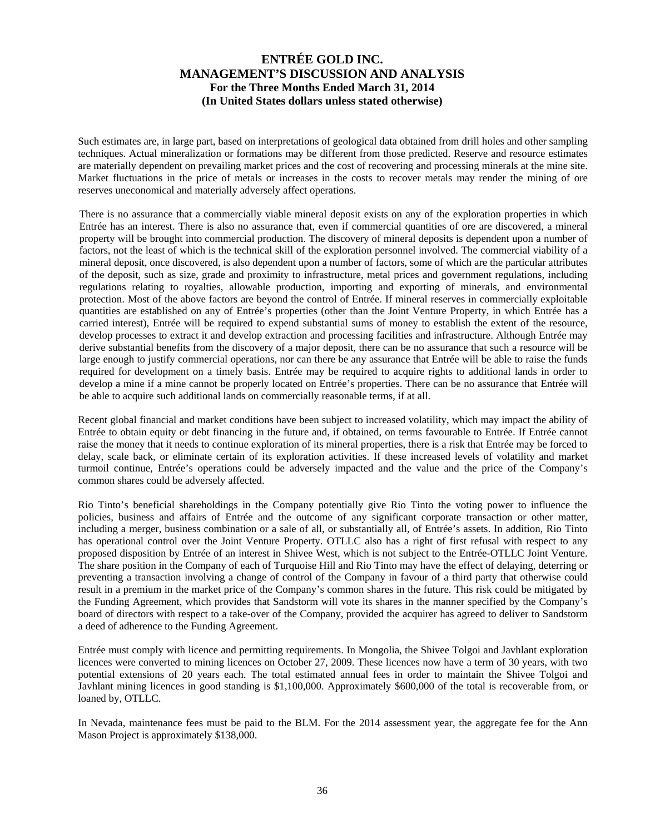Such estimates are, in large part, based on interpretations of geological data obtained from drill holes and other sampling techniques. Actual mineralization or formations may be different from those predicted. Reserve and resource estimates are materially dependent on prevailing market prices and the cost of recovering and processing minerals at the mine site. Market fluctuations in the price of metals or increases in the costs to recover metals may render the mining of ore reserves uneconomical and materially adversely affect operations.

There is no assurance that a commercially viable mineral deposit exists on any of the exploration properties in which Entrée has an interest. There is also no assurance that, even if commercial quantities of ore are discovered, a mineral property will be brought into commercial production. The discovery of mineral deposits is dependent upon a number of factors, not the least of which is the technical skill of the exploration personnel involved. The commercial viability of a mineral deposit, once discovered, is also dependent upon a number of factors, some of which are the particular attributes of the deposit, such as size, grade and proximity to infrastructure, metal prices and government regulations, including regulations relating to royalties, allowable production, importing and exporting of minerals, and environmental protection. Most of the above factors are beyond the control of Entrée. If mineral reserves in commercially exploitable quantities are established on any of Entrée's properties (other than the Joint Venture Property, in which Entrée has a carried interest), Entrée will be required to expend substantial sums of money to establish the extent of the resource, develop processes to extract it and develop extraction and processing facilities and infrastructure. Although Entrée may derive substantial benefits from the discovery of a major deposit, there can be no assurance that such a resource will be large enough to justify commercial operations, nor can there be any assurance that Entrée will be able to raise the funds required for development on a timely basis. Entrée may be required to acquire rights to additional lands in order to develop a mine if a mine cannot be properly located on Entrée's properties. There can be no assurance that Entrée will be able to acquire such additional lands on commercially reasonable terms, if at all.

Recent global financial and market conditions have been subject to increased volatility, which may impact the ability of Entrée to obtain equity or debt financing in the future and, if obtained, on terms favourable to Entrée. If Entrée cannot raise the money that it needs to continue exploration of its mineral properties, there is a risk that Entrée may be forced to delay, scale back, or eliminate certain of its exploration activities. If these increased levels of volatility and market turmoil continue, Entrée's operations could be adversely impacted and the value and the price of the Company's common shares could be adversely affected.

Rio Tinto's beneficial shareholdings in the Company potentially give Rio Tinto the voting power to influence the policies, business and affairs of Entrée and the outcome of any significant corporate transaction or other matter, including a merger, business combination or a sale of all, or substantially all, of Entrée's assets. In addition, Rio Tinto has operational control over the Joint Venture Property. OTLLC also has a right of first refusal with respect to any proposed disposition by Entrée of an interest in Shivee West, which is not subject to the Entrée-OTLLC Joint Venture. The share position in the Company of each of Turquoise Hill and Rio Tinto may have the effect of delaying, deterring or preventing a transaction involving a change of control of the Company in favour of a third party that otherwise could result in a premium in the market price of the Company's common shares in the future. This risk could be mitigated by the Funding Agreement, which provides that Sandstorm will vote its shares in the manner specified by the Company's board of directors with respect to a take-over of the Company, provided the acquirer has agreed to deliver to Sandstorm a deed of adherence to the Funding Agreement.

Entrée must comply with licence and permitting requirements. In Mongolia, the Shivee Tolgoi and Javhlant exploration licences were converted to mining licences on October 27, 2009. These licences now have a term of 30 years, with two potential extensions of 20 years each. The total estimated annual fees in order to maintain the Shivee Tolgoi and Javhlant mining licences in good standing is \$1,100,000. Approximately \$600,000 of the total is recoverable from, or loaned by, OTLLC.

In Nevada, maintenance fees must be paid to the BLM. For the 2014 assessment year, the aggregate fee for the Ann Mason Project is approximately \$138,000.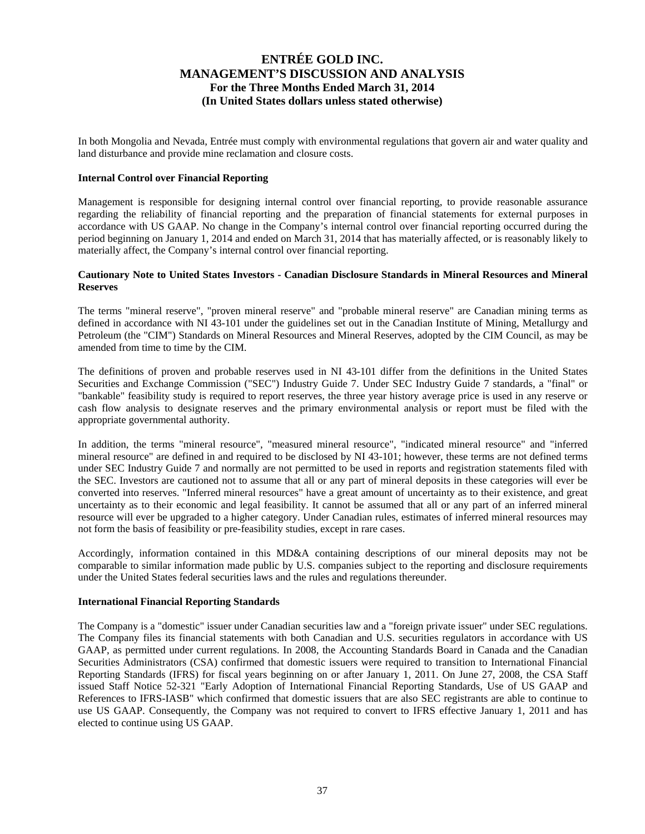In both Mongolia and Nevada, Entrée must comply with environmental regulations that govern air and water quality and land disturbance and provide mine reclamation and closure costs.

#### **Internal Control over Financial Reporting**

Management is responsible for designing internal control over financial reporting, to provide reasonable assurance regarding the reliability of financial reporting and the preparation of financial statements for external purposes in accordance with US GAAP. No change in the Company's internal control over financial reporting occurred during the period beginning on January 1, 2014 and ended on March 31, 2014 that has materially affected, or is reasonably likely to materially affect, the Company's internal control over financial reporting.

### **Cautionary Note to United States Investors - Canadian Disclosure Standards in Mineral Resources and Mineral Reserves**

The terms "mineral reserve", "proven mineral reserve" and "probable mineral reserve" are Canadian mining terms as defined in accordance with NI 43-101 under the guidelines set out in the Canadian Institute of Mining, Metallurgy and Petroleum (the "CIM") Standards on Mineral Resources and Mineral Reserves, adopted by the CIM Council, as may be amended from time to time by the CIM.

The definitions of proven and probable reserves used in NI 43-101 differ from the definitions in the United States Securities and Exchange Commission ("SEC") Industry Guide 7. Under SEC Industry Guide 7 standards, a "final" or "bankable" feasibility study is required to report reserves, the three year history average price is used in any reserve or cash flow analysis to designate reserves and the primary environmental analysis or report must be filed with the appropriate governmental authority.

In addition, the terms "mineral resource", "measured mineral resource", "indicated mineral resource" and "inferred mineral resource" are defined in and required to be disclosed by NI 43-101; however, these terms are not defined terms under SEC Industry Guide 7 and normally are not permitted to be used in reports and registration statements filed with the SEC. Investors are cautioned not to assume that all or any part of mineral deposits in these categories will ever be converted into reserves. "Inferred mineral resources" have a great amount of uncertainty as to their existence, and great uncertainty as to their economic and legal feasibility. It cannot be assumed that all or any part of an inferred mineral resource will ever be upgraded to a higher category. Under Canadian rules, estimates of inferred mineral resources may not form the basis of feasibility or pre-feasibility studies, except in rare cases.

Accordingly, information contained in this MD&A containing descriptions of our mineral deposits may not be comparable to similar information made public by U.S. companies subject to the reporting and disclosure requirements under the United States federal securities laws and the rules and regulations thereunder.

#### **International Financial Reporting Standards**

The Company is a "domestic" issuer under Canadian securities law and a "foreign private issuer" under SEC regulations. The Company files its financial statements with both Canadian and U.S. securities regulators in accordance with US GAAP, as permitted under current regulations. In 2008, the Accounting Standards Board in Canada and the Canadian Securities Administrators (CSA) confirmed that domestic issuers were required to transition to International Financial Reporting Standards (IFRS) for fiscal years beginning on or after January 1, 2011. On June 27, 2008, the CSA Staff issued Staff Notice 52-321 "Early Adoption of International Financial Reporting Standards, Use of US GAAP and References to IFRS-IASB" which confirmed that domestic issuers that are also SEC registrants are able to continue to use US GAAP. Consequently, the Company was not required to convert to IFRS effective January 1, 2011 and has elected to continue using US GAAP.